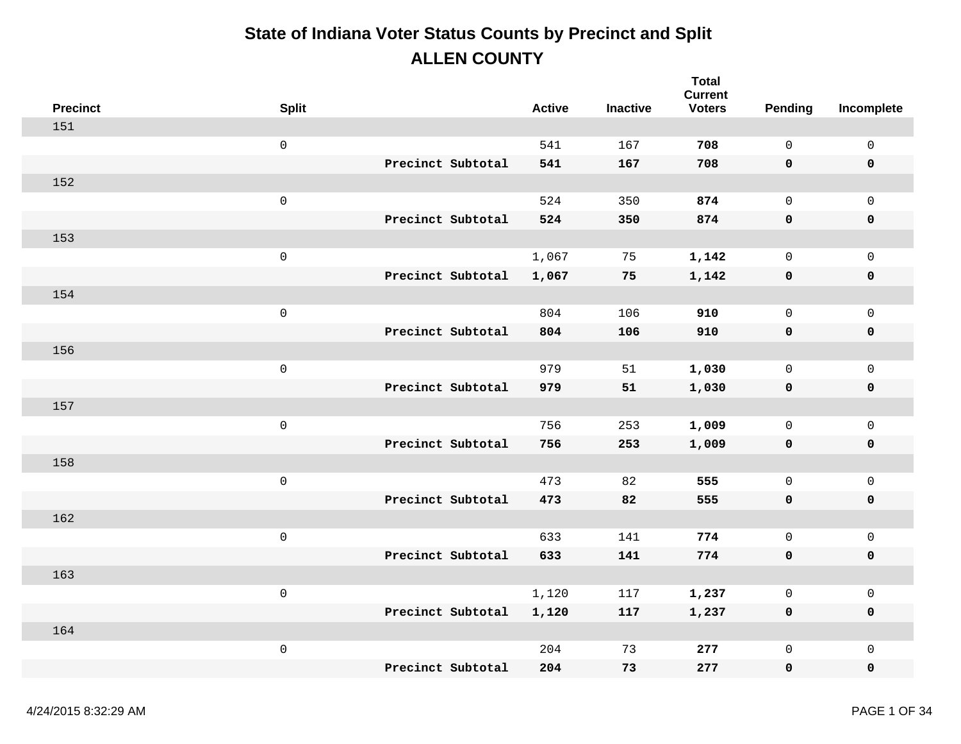| <b>Precinct</b> | <b>Split</b>        |                   | <b>Active</b> | <b>Inactive</b> | <b>Total</b><br><b>Current</b><br><b>Voters</b> | Pending      | Incomplete          |
|-----------------|---------------------|-------------------|---------------|-----------------|-------------------------------------------------|--------------|---------------------|
| 151             |                     |                   |               |                 |                                                 |              |                     |
|                 | $\mathsf{O}\xspace$ |                   | 541           | 167             | 708                                             | $\mathbf 0$  | $\mathsf{O}\xspace$ |
|                 |                     | Precinct Subtotal | 541           | 167             | 708                                             | 0            | $\pmb{0}$           |
| 152             |                     |                   |               |                 |                                                 |              |                     |
|                 | $\mathsf{O}\xspace$ |                   | 524           | 350             | 874                                             | $\mathsf{O}$ | $\mathbf 0$         |
|                 |                     | Precinct Subtotal | 524           | 350             | 874                                             | $\mathbf 0$  | $\pmb{0}$           |
| 153             |                     |                   |               |                 |                                                 |              |                     |
|                 | $\mathbf 0$         |                   | 1,067         | 75              | 1,142                                           | $\mathbf 0$  | $\mathsf{O}$        |
|                 |                     | Precinct Subtotal | 1,067         | 75              | 1,142                                           | 0            | $\pmb{0}$           |
| 154             |                     |                   |               |                 |                                                 |              |                     |
|                 | $\mathsf{O}\xspace$ |                   | 804           | 106             | 910                                             | $\mathsf{O}$ | $\mathbf 0$         |
|                 |                     | Precinct Subtotal | 804           | 106             | 910                                             | 0            | $\pmb{0}$           |
| 156             |                     |                   |               |                 |                                                 |              |                     |
|                 | $\mathsf 0$         |                   | 979           | 51              | 1,030                                           | $\mathsf{O}$ | $\mathsf{O}$        |
|                 |                     | Precinct Subtotal | 979           | 51              | 1,030                                           | 0            | $\pmb{0}$           |
| 157             |                     |                   |               |                 |                                                 |              |                     |
|                 | $\mathsf{O}\xspace$ |                   | 756           | 253             | 1,009                                           | $\mathsf{O}$ | $\mathsf{O}$        |
|                 |                     | Precinct Subtotal | 756           | 253             | 1,009                                           | 0            | $\pmb{0}$           |
| 158             |                     |                   |               |                 |                                                 |              |                     |
|                 | $\mathsf{O}\xspace$ |                   | 473           | 82              | 555                                             | $\mathsf{O}$ | $\mathsf{O}\xspace$ |
|                 |                     | Precinct Subtotal | 473           | 82              | 555                                             | 0            | $\mathbf 0$         |
| 162             |                     |                   |               |                 |                                                 |              |                     |
|                 | $\mathsf{O}\xspace$ |                   | 633           | 141             | 774                                             | $\mathsf{O}$ | $\mathsf{O}\xspace$ |
|                 |                     | Precinct Subtotal | 633           | 141             | 774                                             | $\mathbf 0$  | $\pmb{0}$           |
| 163             |                     |                   |               |                 |                                                 |              |                     |
|                 | $\mathsf{O}\xspace$ |                   | 1,120         | 117             | 1,237                                           | $\mathsf{O}$ | $\mathsf{O}\xspace$ |
|                 |                     | Precinct Subtotal | 1,120         | 117             | 1,237                                           | 0            | $\mathbf 0$         |
| 164             |                     |                   |               |                 |                                                 |              |                     |
|                 | $\,0\,$             |                   | 204           | 73              | 277                                             | $\mathsf{O}$ | $\mathbf 0$         |
|                 |                     | Precinct Subtotal | 204           | 73              | 277                                             | 0            | $\mathbf 0$         |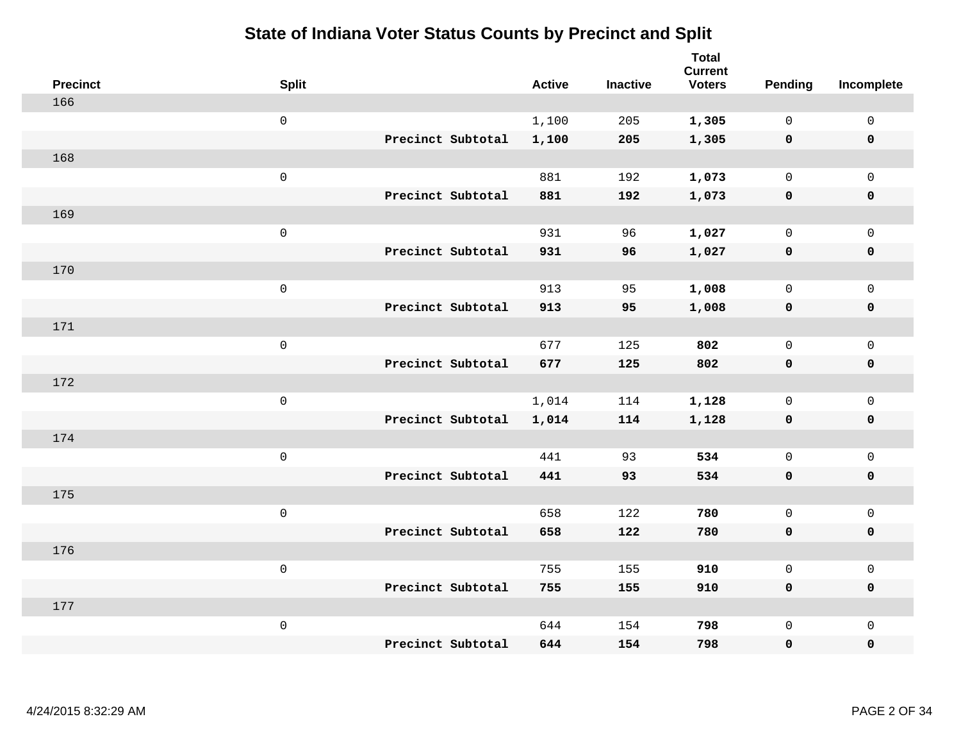| <b>Precinct</b> | <b>Split</b>        |                   | <b>Active</b> | <b>Inactive</b> | <b>Total</b><br><b>Current</b><br><b>Voters</b> | Pending      | Incomplete          |
|-----------------|---------------------|-------------------|---------------|-----------------|-------------------------------------------------|--------------|---------------------|
| 166             |                     |                   |               |                 |                                                 |              |                     |
|                 | $\mathsf{O}$        |                   | 1,100         | 205             | 1,305                                           | $\mathbf 0$  | $\mathsf{O}\xspace$ |
|                 |                     | Precinct Subtotal | 1,100         | 205             | 1,305                                           | $\mathbf 0$  | $\pmb{0}$           |
| 168             |                     |                   |               |                 |                                                 |              |                     |
|                 | $\mathsf{O}\xspace$ |                   | 881           | 192             | 1,073                                           | $\mathbf 0$  | $\mathsf{O}\xspace$ |
|                 |                     | Precinct Subtotal | 881           | 192             | 1,073                                           | $\mathbf 0$  | $\pmb{0}$           |
| 169             |                     |                   |               |                 |                                                 |              |                     |
|                 | $\mathbf 0$         |                   | 931           | 96              | 1,027                                           | $\mathsf{O}$ | $\mathsf{O}\xspace$ |
|                 |                     | Precinct Subtotal | 931           | 96              | 1,027                                           | $\mathbf 0$  | 0                   |
| 170             |                     |                   |               |                 |                                                 |              |                     |
|                 | $\,0\,$             |                   | 913           | 95              | 1,008                                           | $\mathsf{O}$ | $\mathsf{O}\xspace$ |
|                 |                     | Precinct Subtotal | 913           | 95              | 1,008                                           | $\mathbf 0$  | 0                   |
| 171             |                     |                   |               |                 |                                                 |              |                     |
|                 | $\mathbf 0$         |                   | 677           | 125             | 802                                             | $\mathsf{O}$ | $\mathsf{O}\xspace$ |
|                 |                     | Precinct Subtotal | 677           | 125             | 802                                             | 0            | 0                   |
| 172             |                     |                   |               |                 |                                                 |              |                     |
|                 | $\mathsf{O}\xspace$ |                   | 1,014         | 114             | 1,128                                           | $\mathsf{O}$ | $\mathsf{O}\xspace$ |
|                 |                     | Precinct Subtotal | 1,014         | 114             | 1,128                                           | $\mathbf 0$  | 0                   |
| 174             |                     |                   |               |                 |                                                 |              |                     |
|                 | $\mathbf 0$         |                   | 441           | 93              | 534                                             | $\mathbf 0$  | $\mathsf{O}$        |
|                 |                     | Precinct Subtotal | 441           | 93              | 534                                             | 0            | 0                   |
| 175             |                     |                   |               |                 |                                                 |              |                     |
|                 | $\mathsf{O}\xspace$ |                   | 658           | 122             | 780                                             | $\mathsf{O}$ | $\mathsf{O}\xspace$ |
|                 |                     | Precinct Subtotal | 658           | 122             | 780                                             | 0            | 0                   |
| 176             |                     |                   |               |                 |                                                 |              |                     |
|                 | $\mathbf 0$         |                   | 755           | 155             | 910                                             | $\mathsf{O}$ | $\mathsf{O}\xspace$ |
|                 |                     | Precinct Subtotal | 755           | 155             | 910                                             | 0            | 0                   |
| 177             |                     |                   |               |                 |                                                 |              |                     |
|                 | $\mathbf 0$         |                   | 644           | 154             | 798                                             | $\mathsf{O}$ | $\mathsf{O}$        |
|                 |                     | Precinct Subtotal | 644           | 154             | 798                                             | 0            | 0                   |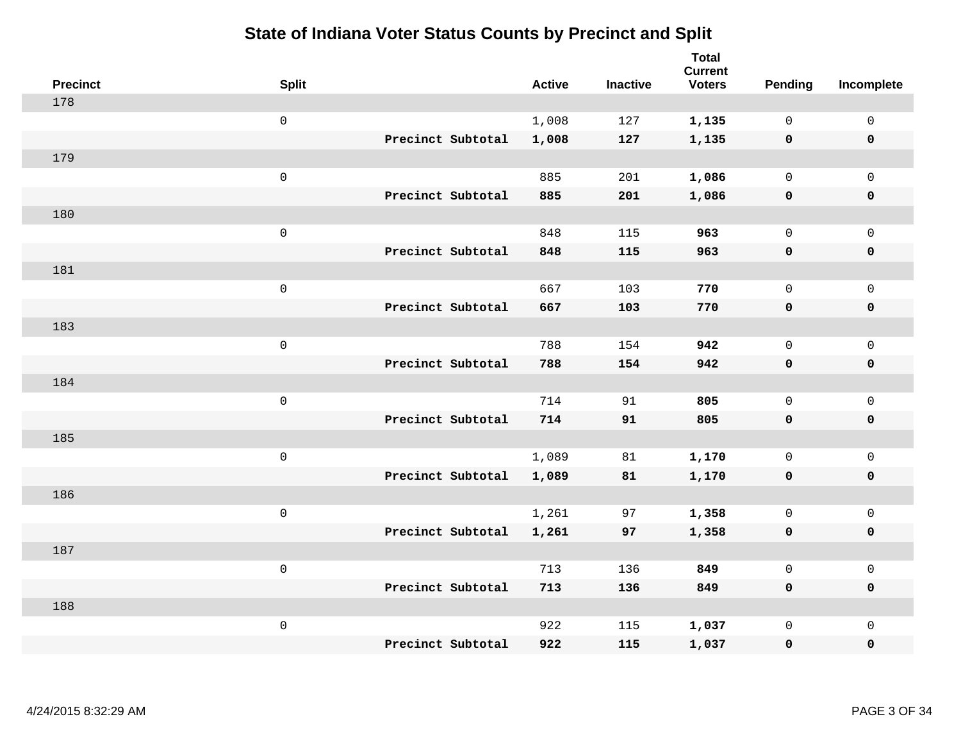| <b>Precinct</b> | <b>Split</b>        |                   | <b>Active</b> | <b>Inactive</b> | <b>Total</b><br><b>Current</b><br><b>Voters</b> | <b>Pending</b> | Incomplete          |
|-----------------|---------------------|-------------------|---------------|-----------------|-------------------------------------------------|----------------|---------------------|
| 178             |                     |                   |               |                 |                                                 |                |                     |
|                 | $\mathsf{O}\xspace$ |                   | 1,008         | 127             | 1,135                                           | $\mathbf{0}$   | $\mathbf 0$         |
|                 |                     | Precinct Subtotal | 1,008         | 127             | 1,135                                           | $\mathbf 0$    | $\mathbf 0$         |
| 179             |                     |                   |               |                 |                                                 |                |                     |
|                 | $\mathsf 0$         |                   | 885           | 201             | 1,086                                           | $\mathbf{0}$   | $\mathbf 0$         |
|                 |                     | Precinct Subtotal | 885           | 201             | 1,086                                           | $\mathbf 0$    | $\pmb{0}$           |
| 180             |                     |                   |               |                 |                                                 |                |                     |
|                 | $\mathsf 0$         |                   | 848           | 115             | 963                                             | $\mathbf{0}$   | $\mathsf{O}$        |
|                 |                     | Precinct Subtotal | 848           | 115             | 963                                             | 0              | $\mathbf 0$         |
| 181             |                     |                   |               |                 |                                                 |                |                     |
|                 | $\mathsf 0$         |                   | 667           | 103             | 770                                             | 0              | $\mathsf{O}$        |
|                 |                     | Precinct Subtotal | 667           | 103             | 770                                             | $\mathbf 0$    | $\pmb{0}$           |
| 183             |                     |                   |               |                 |                                                 |                |                     |
|                 | $\mathsf 0$         |                   | 788           | 154             | 942                                             | $\mathbf{0}$   | $\mathsf 0$         |
|                 |                     | Precinct Subtotal | 788           | 154             | 942                                             | 0              | $\mathbf 0$         |
| 184             |                     |                   |               |                 |                                                 |                |                     |
|                 | $\mathsf{O}\xspace$ |                   | 714           | 91              | 805                                             | $\mathbf{0}$   | $\mathsf{O}\xspace$ |
|                 |                     | Precinct Subtotal | 714           | 91              | 805                                             | $\mathbf 0$    | $\pmb{0}$           |
| 185             |                     |                   |               |                 |                                                 |                |                     |
|                 | $\mathsf{O}\xspace$ |                   | 1,089         | 81              | 1,170                                           | $\mathbf{0}$   | $\mathsf{O}$        |
|                 |                     | Precinct Subtotal | 1,089         | 81              | 1,170                                           | 0              | $\mathbf 0$         |
| 186             |                     |                   |               |                 |                                                 |                |                     |
|                 | $\mathsf 0$         |                   | 1,261         | 97              | 1,358                                           | 0              | $\mathsf{O}$        |
|                 |                     | Precinct Subtotal | 1,261         | 97              | 1,358                                           | $\mathbf 0$    | 0                   |
| 187             |                     |                   |               |                 |                                                 |                |                     |
|                 | $\mathsf 0$         |                   | 713           | 136             | 849                                             | $\mathsf{O}$   | $\mathsf 0$         |
|                 |                     | Precinct Subtotal | 713           | 136             | 849                                             | 0              | $\mathbf 0$         |
| 188             |                     |                   |               |                 |                                                 |                |                     |
|                 | $\mathsf 0$         |                   | 922           | 115             | 1,037                                           | 0              | $\mathbf 0$         |
|                 |                     | Precinct Subtotal | 922           | 115             | 1,037                                           | 0              | $\mathbf 0$         |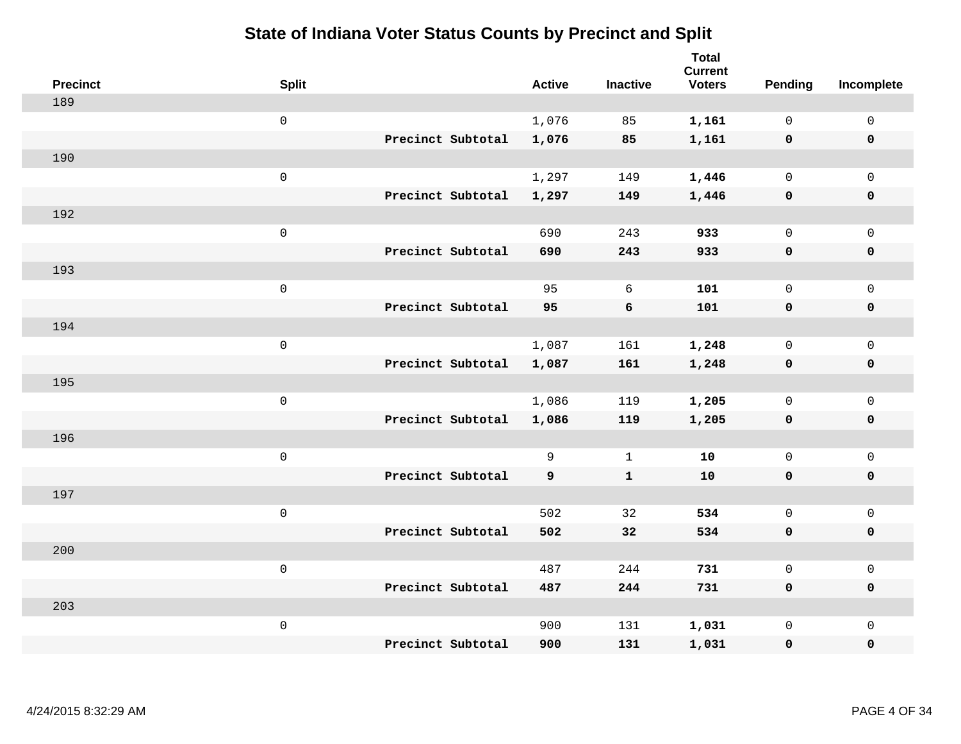| <b>Precinct</b> | <b>Split</b>        |                   | <b>Active</b> | <b>Inactive</b> | <b>Total</b><br><b>Current</b><br><b>Voters</b> | Pending      | Incomplete          |
|-----------------|---------------------|-------------------|---------------|-----------------|-------------------------------------------------|--------------|---------------------|
| 189             |                     |                   |               |                 |                                                 |              |                     |
|                 | $\mathbf 0$         |                   | 1,076         | 85              | 1,161                                           | $\mathbf 0$  | $\mathsf{O}$        |
|                 |                     | Precinct Subtotal | 1,076         | 85              | 1,161                                           | $\mathbf 0$  | $\pmb{0}$           |
| 190             |                     |                   |               |                 |                                                 |              |                     |
|                 | $\mathsf{O}\xspace$ |                   | 1,297         | 149             | 1,446                                           | $\mathsf{O}$ | $\mathsf{O}$        |
|                 |                     | Precinct Subtotal | 1,297         | 149             | 1,446                                           | $\mathbf 0$  | 0                   |
| 192             |                     |                   |               |                 |                                                 |              |                     |
|                 | $\mathbf 0$         |                   | 690           | 243             | 933                                             | $\mathbf 0$  | $\mathsf{O}\xspace$ |
|                 |                     | Precinct Subtotal | 690           | 243             | 933                                             | $\mathbf 0$  | 0                   |
| 193             |                     |                   |               |                 |                                                 |              |                     |
|                 | $\mathsf{O}\xspace$ |                   | 95            | 6               | 101                                             | $\mathbf 0$  | $\mathsf{O}\xspace$ |
|                 |                     | Precinct Subtotal | 95            | 6               | 101                                             | $\mathbf 0$  | 0                   |
| 194             |                     |                   |               |                 |                                                 |              |                     |
|                 | $\mathbf 0$         |                   | 1,087         | 161             | 1,248                                           | $\mathbf 0$  | $\mathsf{O}$        |
|                 |                     | Precinct Subtotal | 1,087         | 161             | 1,248                                           | $\mathbf 0$  | 0                   |
| 195             |                     |                   |               |                 |                                                 |              |                     |
|                 | $\mathbf 0$         |                   | 1,086         | 119             | 1,205                                           | $\mathsf{O}$ | $\mathsf{O}$        |
|                 |                     | Precinct Subtotal | 1,086         | 119             | 1,205                                           | 0            | 0                   |
| 196             |                     |                   |               |                 |                                                 |              |                     |
|                 | $\mathbf 0$         |                   | 9             | $\mathbf{1}$    | 10                                              | $\mathsf{O}$ | $\mathsf{O}\xspace$ |
|                 |                     | Precinct Subtotal | 9             | $\mathbf{1}$    | 10                                              | 0            | 0                   |
| 197             |                     |                   |               |                 |                                                 |              |                     |
|                 | $\mathbf 0$         |                   | 502           | 32              | 534                                             | $\mathsf{O}$ | $\mathsf{O}\xspace$ |
|                 |                     | Precinct Subtotal | 502           | 32              | 534                                             | $\mathbf 0$  | 0                   |
| 200             |                     |                   |               |                 |                                                 |              |                     |
|                 | $\mathbf 0$         |                   | 487           | 244             | 731                                             | $\mathbf{0}$ | $\mathsf 0$         |
|                 |                     | Precinct Subtotal | 487           | 244             | 731                                             | 0            | 0                   |
| 203             |                     |                   |               |                 |                                                 |              |                     |
|                 | $\mathbf 0$         |                   | 900           | 131             | 1,031                                           | $\mathsf{O}$ | $\mathsf{O}$        |
|                 |                     | Precinct Subtotal | 900           | 131             | 1,031                                           | 0            | 0                   |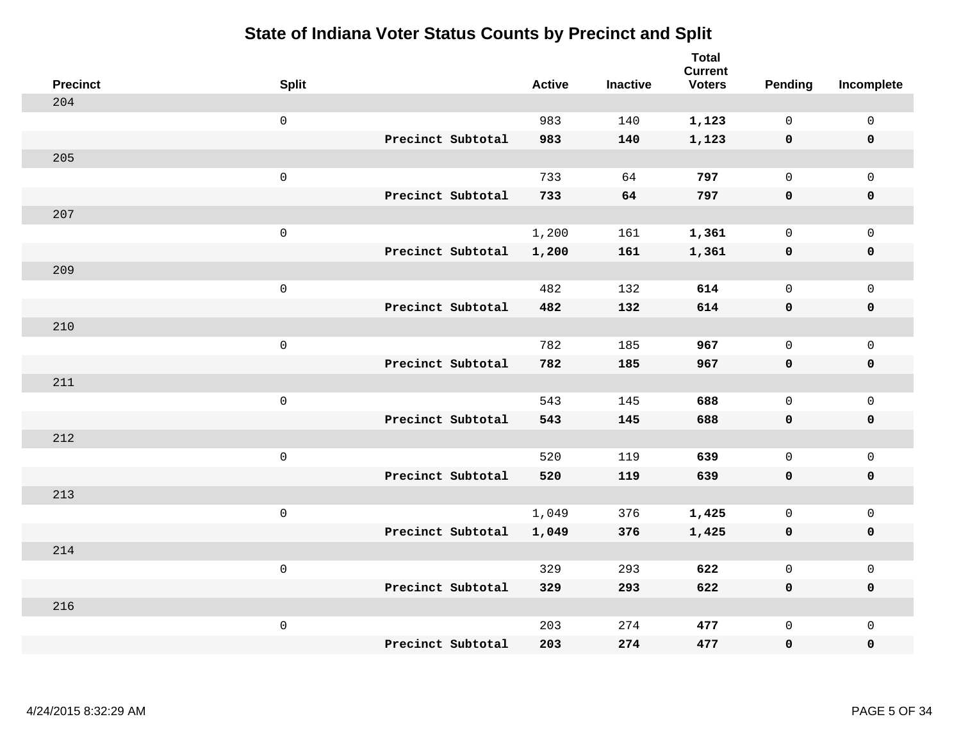| <b>Precinct</b> | <b>Split</b>        |                   | <b>Active</b> | <b>Inactive</b> | <b>Total</b><br><b>Current</b><br><b>Voters</b> | Pending      | Incomplete          |
|-----------------|---------------------|-------------------|---------------|-----------------|-------------------------------------------------|--------------|---------------------|
| 204             |                     |                   |               |                 |                                                 |              |                     |
|                 | $\mathsf{O}\xspace$ |                   | 983           | 140             | 1,123                                           | $\mathbf 0$  | $\mathsf{O}\xspace$ |
|                 |                     | Precinct Subtotal | 983           | 140             | 1,123                                           | $\mathbf 0$  | $\pmb{0}$           |
| 205             |                     |                   |               |                 |                                                 |              |                     |
|                 | $\mathsf{O}\xspace$ |                   | 733           | 64              | 797                                             | $\mathbf 0$  | $\overline{0}$      |
|                 |                     | Precinct Subtotal | 733           | 64              | 797                                             | $\mathbf 0$  | $\pmb{0}$           |
| 207             |                     |                   |               |                 |                                                 |              |                     |
|                 | $\mathsf 0$         |                   | 1,200         | 161             | 1,361                                           | 0            | $\mathsf 0$         |
|                 |                     | Precinct Subtotal | 1,200         | 161             | 1,361                                           | 0            | 0                   |
| 209             |                     |                   |               |                 |                                                 |              |                     |
|                 | $\mathsf{O}\xspace$ |                   | 482           | 132             | 614                                             | $\mathsf{O}$ | $\mathsf{O}$        |
|                 |                     | Precinct Subtotal | 482           | 132             | 614                                             | 0            | 0                   |
| 210             |                     |                   |               |                 |                                                 |              |                     |
|                 | $\mathsf{O}\xspace$ |                   | 782           | 185             | 967                                             | $\mathbf 0$  | $\mathsf{O}\xspace$ |
|                 |                     | Precinct Subtotal | 782           | 185             | 967                                             | 0            | 0                   |
| 211             |                     |                   |               |                 |                                                 |              |                     |
|                 | $\mathsf{O}\xspace$ |                   | 543           | 145             | 688                                             | $\mathbf 0$  | $\mathsf{O}\xspace$ |
|                 |                     | Precinct Subtotal | 543           | 145             | 688                                             | $\mathbf 0$  | 0                   |
| 212             |                     |                   |               |                 |                                                 |              |                     |
|                 | $\mathsf{O}\xspace$ |                   | 520           | 119             | 639                                             | $\mathbf 0$  | $\mathsf{O}$        |
|                 |                     | Precinct Subtotal | 520           | 119             | 639                                             | 0            | 0                   |
| 213             |                     |                   |               |                 |                                                 |              |                     |
|                 | $\mathsf 0$         |                   | 1,049         | 376             | 1,425                                           | 0            | $\mathsf{O}$        |
|                 |                     | Precinct Subtotal | 1,049         | 376             | 1,425                                           | 0            | 0                   |
| 214             |                     |                   |               |                 |                                                 |              |                     |
|                 | $\mathsf{O}\xspace$ |                   | 329           | 293             | 622                                             | $\mathsf{O}$ | $\mathsf{O}$        |
|                 |                     | Precinct Subtotal | 329           | 293             | 622                                             | 0            | 0                   |
| 216             |                     |                   |               |                 |                                                 |              |                     |
|                 | $\mathsf{O}\xspace$ |                   | 203           | 274             | 477                                             | $\mathsf{O}$ | $\mathsf{O}$        |
|                 |                     | Precinct Subtotal | 203           | 274             | 477                                             | 0            | 0                   |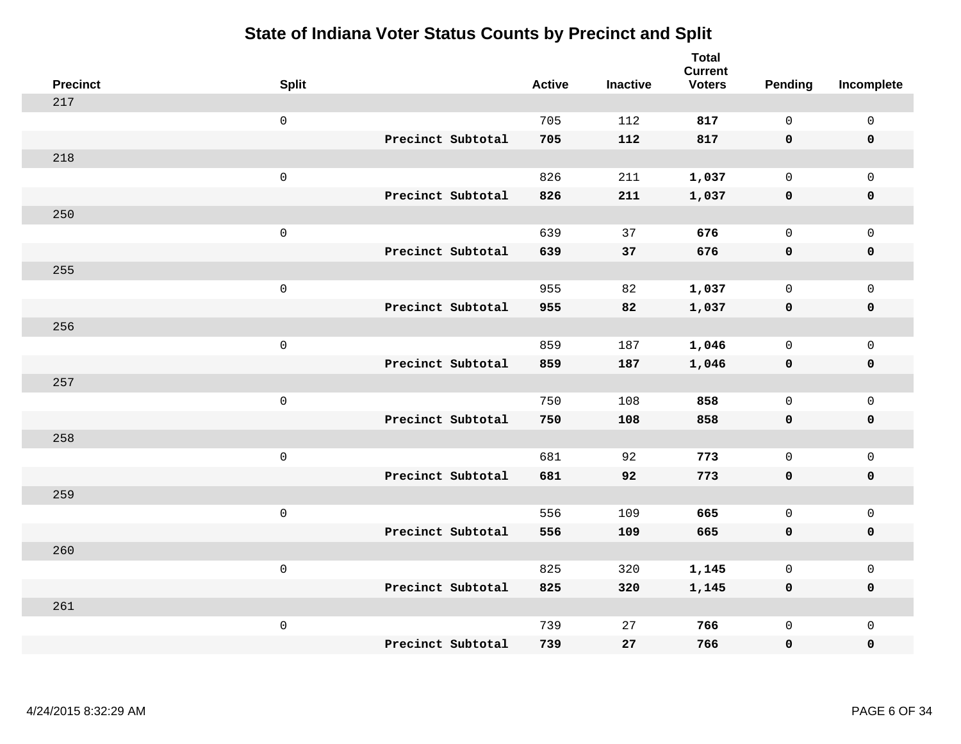| <b>Precinct</b> | <b>Split</b>        |                   | <b>Active</b> | <b>Inactive</b> | <b>Total</b><br><b>Current</b><br><b>Voters</b> | Pending      | Incomplete          |
|-----------------|---------------------|-------------------|---------------|-----------------|-------------------------------------------------|--------------|---------------------|
| 217             |                     |                   |               |                 |                                                 |              |                     |
|                 | $\mathsf{O}\xspace$ |                   | 705           | 112             | 817                                             | $\mathbf 0$  | $\mathsf{O}\xspace$ |
|                 |                     | Precinct Subtotal | 705           | 112             | 817                                             | $\mathbf 0$  | $\mathbf 0$         |
| 218             |                     |                   |               |                 |                                                 |              |                     |
|                 | $\mathsf{O}\xspace$ |                   | 826           | 211             | 1,037                                           | $\mathsf{O}$ | $\mathsf{O}$        |
|                 |                     | Precinct Subtotal | 826           | 211             | 1,037                                           | 0            | 0                   |
| 250             |                     |                   |               |                 |                                                 |              |                     |
|                 | $\mathsf{O}\xspace$ |                   | 639           | 37              | 676                                             | $\mathbf 0$  | $\mathsf{O}$        |
|                 |                     | Precinct Subtotal | 639           | 37              | 676                                             | $\mathbf 0$  | 0                   |
| 255             |                     |                   |               |                 |                                                 |              |                     |
|                 | $\mathsf{O}\xspace$ |                   | 955           | 82              | 1,037                                           | $\mathbf 0$  | $\mathsf{O}\xspace$ |
|                 |                     | Precinct Subtotal | 955           | 82              | 1,037                                           | $\mathbf 0$  | $\pmb{0}$           |
| 256             |                     |                   |               |                 |                                                 |              |                     |
|                 | $\mathsf{O}\xspace$ |                   | 859           | 187             | 1,046                                           | $\mathbf 0$  | $\mathsf{O}\xspace$ |
|                 |                     | Precinct Subtotal | 859           | 187             | 1,046                                           | 0            | $\pmb{0}$           |
| 257             |                     |                   |               |                 |                                                 |              |                     |
|                 | $\mathsf{O}\xspace$ |                   | 750           | 108             | 858                                             | $\mathsf{O}$ | $\mathsf{O}$        |
|                 |                     | Precinct Subtotal | 750           | 108             | 858                                             | 0            | 0                   |
| 258             |                     |                   |               |                 |                                                 |              |                     |
|                 | $\mathsf{O}\xspace$ |                   | 681           | 92              | 773                                             | $\mathbf 0$  | $\mathsf{O}\xspace$ |
|                 |                     | Precinct Subtotal | 681           | 92              | 773                                             | 0            | 0                   |
| 259             |                     |                   |               |                 |                                                 |              |                     |
|                 | $\mathsf 0$         |                   | 556           | 109             | 665                                             | $\mathbf 0$  | $\mathsf{O}\xspace$ |
|                 |                     | Precinct Subtotal | 556           | 109             | 665                                             | $\mathbf 0$  | 0                   |
| 260             |                     |                   |               |                 |                                                 |              |                     |
|                 | $\mathsf{O}\xspace$ |                   | 825           | 320             | 1,145                                           | 0            | $\mathsf{O}\xspace$ |
|                 |                     | Precinct Subtotal | 825           | 320             | 1,145                                           | 0            | 0                   |
| 261             |                     |                   |               |                 |                                                 |              |                     |
|                 | $\mathsf{O}\xspace$ |                   | 739           | 27              | 766                                             | $\mathsf{O}$ | $\mathsf{O}$        |
|                 |                     | Precinct Subtotal | 739           | 27              | 766                                             | 0            | 0                   |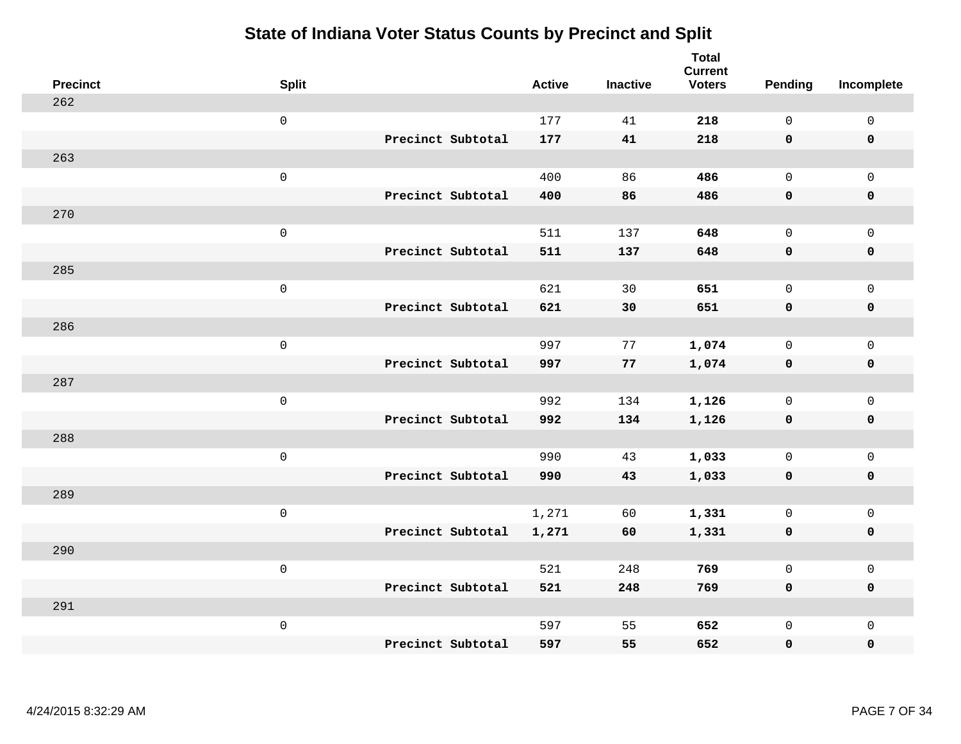| <b>Precinct</b> | <b>Split</b>        |                   | <b>Active</b> | <b>Inactive</b> | <b>Total</b><br><b>Current</b><br><b>Voters</b> | Pending      | Incomplete          |
|-----------------|---------------------|-------------------|---------------|-----------------|-------------------------------------------------|--------------|---------------------|
| 262             |                     |                   |               |                 |                                                 |              |                     |
|                 | $\mathsf 0$         |                   | 177           | 41              | 218                                             | $\mathbf{0}$ | $\mathsf 0$         |
|                 |                     | Precinct Subtotal | 177           | 41              | 218                                             | $\mathbf 0$  | $\mathbf 0$         |
| 263             |                     |                   |               |                 |                                                 |              |                     |
|                 | $\mathsf{O}\xspace$ |                   | 400           | 86              | 486                                             | $\mathsf{O}$ | $\mathsf{O}$        |
|                 |                     | Precinct Subtotal | 400           | 86              | 486                                             | $\mathbf 0$  | 0                   |
| 270             |                     |                   |               |                 |                                                 |              |                     |
|                 | $\mathsf{O}\xspace$ |                   | 511           | 137             | 648                                             | $\mathbf{0}$ | $\mathsf{O}$        |
|                 |                     | Precinct Subtotal | 511           | 137             | 648                                             | $\mathbf 0$  | 0                   |
| 285             |                     |                   |               |                 |                                                 |              |                     |
|                 | $\mathsf{O}\xspace$ |                   | 621           | 30              | 651                                             | $\mathbf{0}$ | $\mathsf{O}\xspace$ |
|                 |                     | Precinct Subtotal | 621           | 30              | 651                                             | $\mathbf 0$  | $\pmb{0}$           |
| 286             |                     |                   |               |                 |                                                 |              |                     |
|                 | $\mathsf{O}\xspace$ |                   | 997           | 77              | 1,074                                           | $\mathbf 0$  | $\mathsf 0$         |
|                 |                     | Precinct Subtotal | 997           | 77              | 1,074                                           | 0            | $\pmb{0}$           |
| 287             |                     |                   |               |                 |                                                 |              |                     |
|                 | $\mathsf{O}\xspace$ |                   | 992           | 134             | 1,126                                           | $\mathsf{O}$ | $\mathsf{O}$        |
|                 |                     | Precinct Subtotal | 992           | 134             | 1,126                                           | $\mathbf 0$  | 0                   |
| 288             |                     |                   |               |                 |                                                 |              |                     |
|                 | $\mathsf{O}\xspace$ |                   | 990           | 43              | 1,033                                           | $\mathsf{O}$ | $\mathsf{O}\xspace$ |
|                 |                     | Precinct Subtotal | 990           | 43              | 1,033                                           | 0            | 0                   |
| 289             |                     |                   |               |                 |                                                 |              |                     |
|                 | $\mathsf 0$         |                   | 1,271         | 60              | 1,331                                           | $\mathbf 0$  | $\mathsf{O}\xspace$ |
|                 |                     | Precinct Subtotal | 1,271         | 60              | 1,331                                           | $\mathbf 0$  | 0                   |
| 290             |                     |                   |               |                 |                                                 |              |                     |
|                 | $\mathsf{O}\xspace$ |                   | 521           | 248             | 769                                             | $\mathsf{O}$ | $\mathsf 0$         |
|                 |                     | Precinct Subtotal | 521           | 248             | 769                                             | 0            | 0                   |
| 291             |                     |                   |               |                 |                                                 |              |                     |
|                 | $\mathsf{O}\xspace$ |                   | 597           | 55              | 652                                             | $\mathsf{O}$ | $\mathsf{O}$        |
|                 |                     | Precinct Subtotal | 597           | 55              | 652                                             | 0            | 0                   |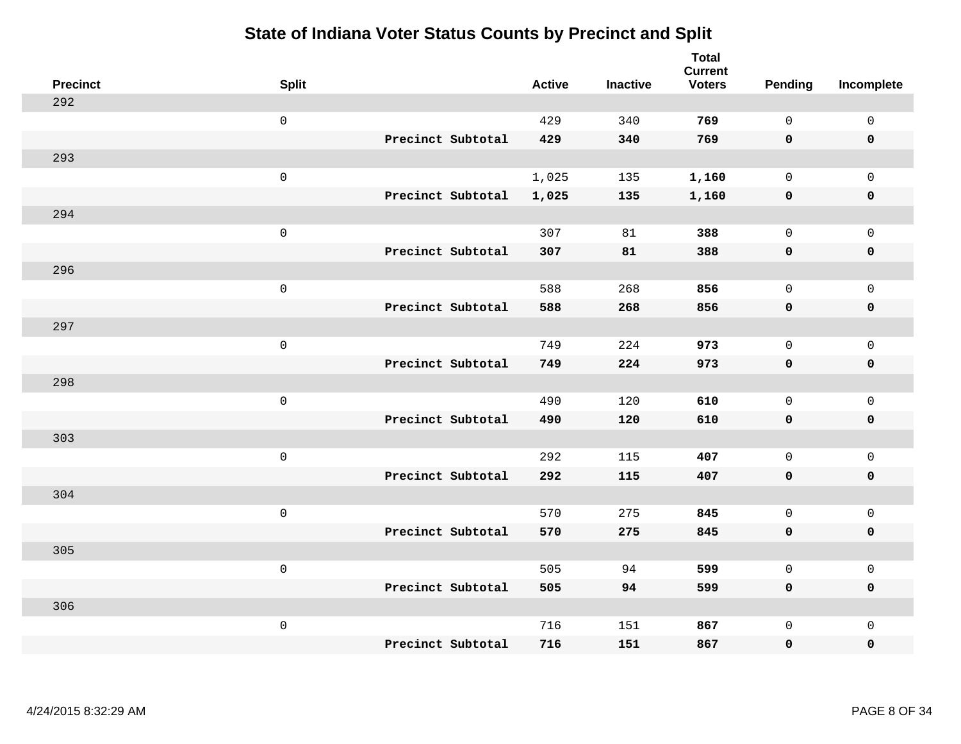| <b>Precinct</b> | <b>Split</b>        | <b>Active</b>              | <b>Inactive</b> | <b>Total</b><br><b>Current</b><br><b>Voters</b> | <b>Pending</b> | Incomplete          |
|-----------------|---------------------|----------------------------|-----------------|-------------------------------------------------|----------------|---------------------|
| 292             |                     |                            |                 |                                                 |                |                     |
|                 | $\mathsf 0$         | 429                        | 340             | 769                                             | $\mathsf{O}$   | $\mathsf 0$         |
|                 |                     | Precinct Subtotal<br>429   | 340             | 769                                             | $\mathbf 0$    | $\mathbf 0$         |
| 293             |                     |                            |                 |                                                 |                |                     |
|                 | $\mathsf{O}\xspace$ | 1,025                      | 135             | 1,160                                           | $\mathsf{O}$   | $\mathbf 0$         |
|                 |                     | Precinct Subtotal<br>1,025 | 135             | 1,160                                           | $\mathbf 0$    | $\pmb{0}$           |
| 294             |                     |                            |                 |                                                 |                |                     |
|                 | $\mathsf{O}\xspace$ | 307                        | 81              | 388                                             | $\mathsf{O}$   | $\mathbf 0$         |
|                 |                     | Precinct Subtotal<br>307   | 81              | 388                                             | $\mathbf 0$    | $\mathbf 0$         |
| 296             |                     |                            |                 |                                                 |                |                     |
|                 | $\mathsf 0$         | 588                        | 268             | 856                                             | $\mathsf{O}$   | $\mathbf 0$         |
|                 |                     | Precinct Subtotal<br>588   | 268             | 856                                             | $\mathbf 0$    | $\pmb{0}$           |
| 297             |                     |                            |                 |                                                 |                |                     |
|                 | $\mathsf 0$         | 749                        | 224             | 973                                             | $\mathbf 0$    | $\mathsf{O}\xspace$ |
|                 |                     | Precinct Subtotal<br>749   | 224             | 973                                             | $\mathbf 0$    | $\mathbf 0$         |
| 298             |                     |                            |                 |                                                 |                |                     |
|                 | $\mathbf 0$         | 490                        | 120             | 610                                             | $\mathbf 0$    | $\mathbf 0$         |
|                 |                     | Precinct Subtotal<br>490   | 120             | 610                                             | $\mathbf 0$    | $\mathbf 0$         |
| 303             |                     |                            |                 |                                                 |                |                     |
|                 | $\mathbf 0$         | 292                        | 115             | 407                                             | $\mathbf 0$    | $\mathsf 0$         |
|                 |                     | Precinct Subtotal<br>292   | 115             | 407                                             | 0              | $\mathbf 0$         |
| 304             |                     |                            |                 |                                                 |                |                     |
|                 | $\mathbf 0$         | 570                        | 275             | 845                                             | $\mathbf 0$    | $\mathsf 0$         |
|                 |                     | Precinct Subtotal<br>570   | 275             | 845                                             | $\mathbf 0$    | $\mathbf 0$         |
| 305             |                     |                            |                 |                                                 |                |                     |
|                 | $\mathsf 0$         | 505                        | 94              | 599                                             | $\mathbf 0$    | $\mathsf 0$         |
|                 |                     | Precinct Subtotal<br>505   | 94              | 599                                             | $\mathbf 0$    | $\mathbf 0$         |
| 306             |                     |                            |                 |                                                 |                |                     |
|                 | $\mathbf 0$         | 716                        | 151             | 867                                             | $\mathsf{O}$   | $\mathbf 0$         |
|                 |                     | Precinct Subtotal<br>716   | 151             | 867                                             | 0              | $\pmb{0}$           |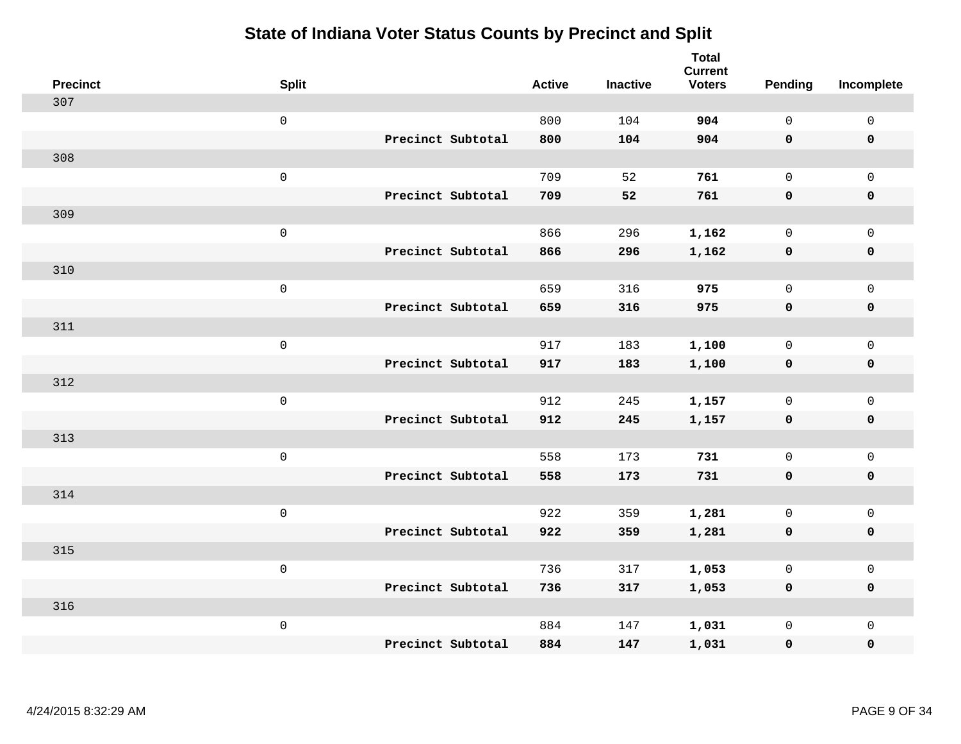| <b>Precinct</b> | <b>Split</b>        | <b>Active</b> | <b>Inactive</b> | <b>Total</b><br><b>Current</b><br><b>Voters</b> | Pending      | Incomplete  |
|-----------------|---------------------|---------------|-----------------|-------------------------------------------------|--------------|-------------|
| 307             |                     |               |                 |                                                 |              |             |
|                 | $\mathsf{O}\xspace$ | 800           | 104             | 904                                             | $\mathsf{O}$ | $\mathsf 0$ |
|                 | Precinct Subtotal   | 800           | 104             | 904                                             | $\mathbf 0$  | $\mathbf 0$ |
| 308             |                     |               |                 |                                                 |              |             |
|                 | $\mathbf 0$         | 709           | 52              | 761                                             | $\mathbf 0$  | $\mathbf 0$ |
|                 | Precinct Subtotal   | 709           | 52              | 761                                             | $\mathbf 0$  | $\mathbf 0$ |
| 309             |                     |               |                 |                                                 |              |             |
|                 | $\mathsf{O}\xspace$ | 866           | 296             | 1,162                                           | $\mathbf 0$  | $\mathsf 0$ |
|                 | Precinct Subtotal   | 866           | 296             | 1,162                                           | $\mathbf 0$  | $\mathbf 0$ |
| 310             |                     |               |                 |                                                 |              |             |
|                 | $\mathsf 0$         | 659           | 316             | 975                                             | $\mathsf{O}$ | $\mathbf 0$ |
|                 | Precinct Subtotal   | 659           | 316             | 975                                             | $\mathbf 0$  | $\mathbf 0$ |
| 311             |                     |               |                 |                                                 |              |             |
|                 | $\mathbf 0$         | 917           | 183             | 1,100                                           | $\mathbf 0$  | $\mathsf 0$ |
|                 | Precinct Subtotal   | 917           | 183             | 1,100                                           | 0            | $\mathbf 0$ |
| 312             |                     |               |                 |                                                 |              |             |
|                 | $\mathbf 0$         | 912           | 245             | 1,157                                           | $\mathbf 0$  | $\mathsf 0$ |
|                 | Precinct Subtotal   | 912           | 245             | 1,157                                           | $\mathbf 0$  | $\mathbf 0$ |
| 313             |                     |               |                 |                                                 |              |             |
|                 | $\mathbf 0$         | 558           | 173             | 731                                             | $\mathsf{O}$ | $\mathbf 0$ |
|                 | Precinct Subtotal   | 558           | 173             | 731                                             | 0            | 0           |
| 314             |                     |               |                 |                                                 |              |             |
|                 | $\mathbf 0$         | 922           | 359             | 1,281                                           | $\mathsf{O}$ | $\mathbf 0$ |
|                 | Precinct Subtotal   | 922           | 359             | 1,281                                           | $\mathbf 0$  | $\pmb{0}$   |
| 315             |                     |               |                 |                                                 |              |             |
|                 | $\mathbf 0$         | 736           | 317             | 1,053                                           | 0            | $\mathbf 0$ |
|                 | Precinct Subtotal   | 736           | 317             | 1,053                                           | 0            | $\mathbf 0$ |
| 316             |                     |               |                 |                                                 |              |             |
|                 | $\mathbf 0$         | 884           | 147             | 1,031                                           | $\mathsf{O}$ | $\mathbf 0$ |
|                 | Precinct Subtotal   | 884           | 147             | 1,031                                           | 0            | $\pmb{0}$   |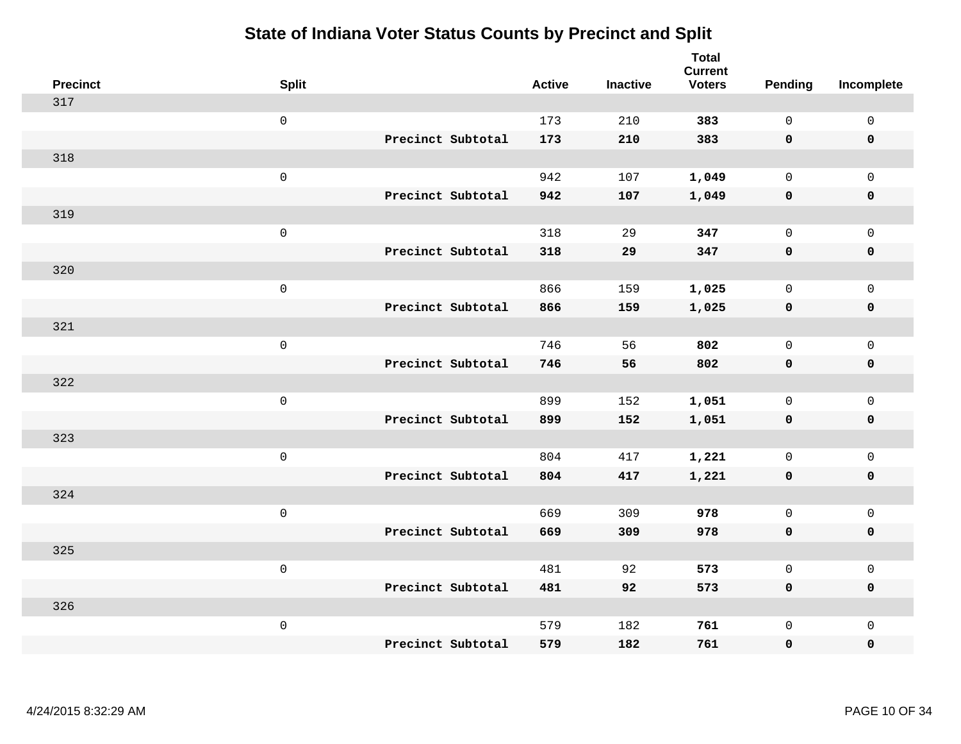| <b>Precinct</b> | <b>Split</b>        |                   | <b>Active</b> | <b>Inactive</b> | <b>Total</b><br><b>Current</b><br><b>Voters</b> | <b>Pending</b> | Incomplete   |
|-----------------|---------------------|-------------------|---------------|-----------------|-------------------------------------------------|----------------|--------------|
| 317             |                     |                   |               |                 |                                                 |                |              |
|                 | $\mathbf 0$         |                   | 173           | 210             | 383                                             | $\mathbf 0$    | $\mathbf 0$  |
|                 |                     | Precinct Subtotal | 173           | 210             | 383                                             | $\mathbf 0$    | $\mathbf 0$  |
| 318             |                     |                   |               |                 |                                                 |                |              |
|                 | $\mathsf 0$         |                   | 942           | 107             | 1,049                                           | 0              | $\mathsf{O}$ |
|                 |                     | Precinct Subtotal | 942           | 107             | 1,049                                           | 0              | $\pmb{0}$    |
| 319             |                     |                   |               |                 |                                                 |                |              |
|                 | $\mathsf 0$         |                   | 318           | 29              | 347                                             | 0              | $\mathbf 0$  |
|                 |                     | Precinct Subtotal | 318           | 29              | 347                                             | $\mathbf 0$    | $\mathbf 0$  |
| 320             |                     |                   |               |                 |                                                 |                |              |
|                 | $\mathsf 0$         |                   | 866           | 159             | 1,025                                           | 0              | $\mathbf 0$  |
|                 |                     | Precinct Subtotal | 866           | 159             | 1,025                                           | $\mathbf 0$    | $\pmb{0}$    |
| 321             |                     |                   |               |                 |                                                 |                |              |
|                 | $\mathsf 0$         |                   | 746           | 56              | 802                                             | $\mathbf{0}$   | $\mathbf 0$  |
|                 |                     | Precinct Subtotal | 746           | 56              | 802                                             | $\mathbf 0$    | $\pmb{0}$    |
| 322             |                     |                   |               |                 |                                                 |                |              |
|                 | $\mathsf{O}\xspace$ |                   | 899           | 152             | 1,051                                           | 0              | $\mathbf 0$  |
|                 |                     | Precinct Subtotal | 899           | 152             | 1,051                                           | $\mathbf 0$    | $\pmb{0}$    |
| 323             |                     |                   |               |                 |                                                 |                |              |
|                 | $\mathsf 0$         |                   | 804           | 417             | 1,221                                           | $\mathbf{0}$   | $\mathbf 0$  |
|                 |                     | Precinct Subtotal | 804           | 417             | 1,221                                           | $\mathbf 0$    | $\pmb{0}$    |
| 324             |                     |                   |               |                 |                                                 |                |              |
|                 | $\mathsf 0$         |                   | 669           | 309             | 978                                             | 0              | $\mathsf{O}$ |
|                 |                     | Precinct Subtotal | 669           | 309             | 978                                             | $\mathbf 0$    | $\pmb{0}$    |
| 325             |                     |                   |               |                 |                                                 |                |              |
|                 | $\mathsf 0$         |                   | 481           | 92              | 573                                             | $\mathsf{O}$   | $\mathsf{O}$ |
|                 |                     | Precinct Subtotal | 481           | 92              | 573                                             | 0              | $\mathbf 0$  |
| 326             |                     |                   |               |                 |                                                 |                |              |
|                 | $\mathsf 0$         |                   | 579           | 182             | 761                                             | 0              | $\mathbf 0$  |
|                 |                     | Precinct Subtotal | 579           | 182             | 761                                             | 0              | $\mathbf 0$  |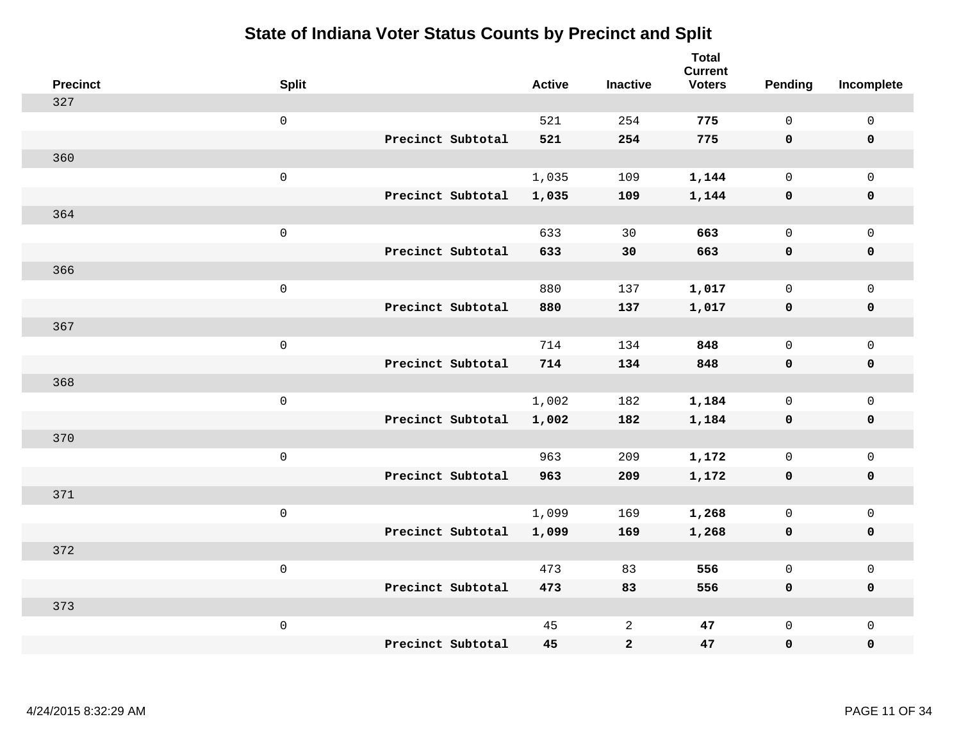| <b>Precinct</b> | <b>Split</b>        |                   | <b>Active</b> | <b>Inactive</b> | <b>Total</b><br><b>Current</b><br><b>Voters</b> | <b>Pending</b> | Incomplete          |
|-----------------|---------------------|-------------------|---------------|-----------------|-------------------------------------------------|----------------|---------------------|
| 327             |                     |                   |               |                 |                                                 |                |                     |
|                 | $\mathsf 0$         |                   | 521           | 254             | 775                                             | $\mathbf 0$    | $\mathsf 0$         |
|                 |                     | Precinct Subtotal | 521           | 254             | 775                                             | $\mathbf 0$    | $\mathbf 0$         |
| 360             |                     |                   |               |                 |                                                 |                |                     |
|                 | $\mathsf{O}$        |                   | 1,035         | 109             | 1,144                                           | $\mathbf 0$    | $\mathsf{O}$        |
|                 |                     | Precinct Subtotal | 1,035         | 109             | 1,144                                           | $\mathbf 0$    | 0                   |
| 364             |                     |                   |               |                 |                                                 |                |                     |
|                 | $\mathsf{O}\xspace$ |                   | 633           | 30              | 663                                             | $\mathbf 0$    | $\mathsf{O}\xspace$ |
|                 |                     | Precinct Subtotal | 633           | 30              | 663                                             | $\mathbf 0$    | $\pmb{0}$           |
| 366             |                     |                   |               |                 |                                                 |                |                     |
|                 | $\mathsf{O}\xspace$ |                   | 880           | 137             | 1,017                                           | $\mathbf 0$    | $\mathsf{O}$        |
|                 |                     | Precinct Subtotal | 880           | 137             | 1,017                                           | $\mathbf 0$    | 0                   |
| 367             |                     |                   |               |                 |                                                 |                |                     |
|                 | $\mathsf{O}\xspace$ |                   | 714           | 134             | 848                                             | $\mathbf 0$    | $\mathsf{O}\xspace$ |
|                 |                     | Precinct Subtotal | 714           | 134             | 848                                             | 0              | 0                   |
| 368             |                     |                   |               |                 |                                                 |                |                     |
|                 | $\mathsf{O}\xspace$ |                   | 1,002         | 182             | 1,184                                           | $\mathbf 0$    | $\mathsf{O}\xspace$ |
|                 |                     | Precinct Subtotal | 1,002         | 182             | 1,184                                           | $\mathbf 0$    | 0                   |
| 370             |                     |                   |               |                 |                                                 |                |                     |
|                 | $\mathbf 0$         |                   | 963           | 209             | 1,172                                           | $\mathbf 0$    | $\mathsf{O}$        |
|                 |                     | Precinct Subtotal | 963           | 209             | 1,172                                           | 0              | 0                   |
| 371             |                     |                   |               |                 |                                                 |                |                     |
|                 | $\mathbf 0$         |                   | 1,099         | 169             | 1,268                                           | $\mathsf{O}$   | $\mathsf{O}$        |
|                 |                     | Precinct Subtotal | 1,099         | 169             | 1,268                                           | 0              | 0                   |
| 372             |                     |                   |               |                 |                                                 |                |                     |
|                 | $\mathbf 0$         |                   | 473           | 83              | 556                                             | $\mathbf 0$    | $\mathsf{O}$        |
|                 |                     | Precinct Subtotal | 473           | 83              | 556                                             | 0              | 0                   |
| 373             |                     |                   |               |                 |                                                 |                |                     |
|                 | $\mathbf 0$         |                   | 45            | $\overline{c}$  | 47                                              | $\mathsf{O}$   | $\mathsf{O}$        |
|                 |                     | Precinct Subtotal | 45            | $\mathbf{2}$    | 47                                              | 0              | 0                   |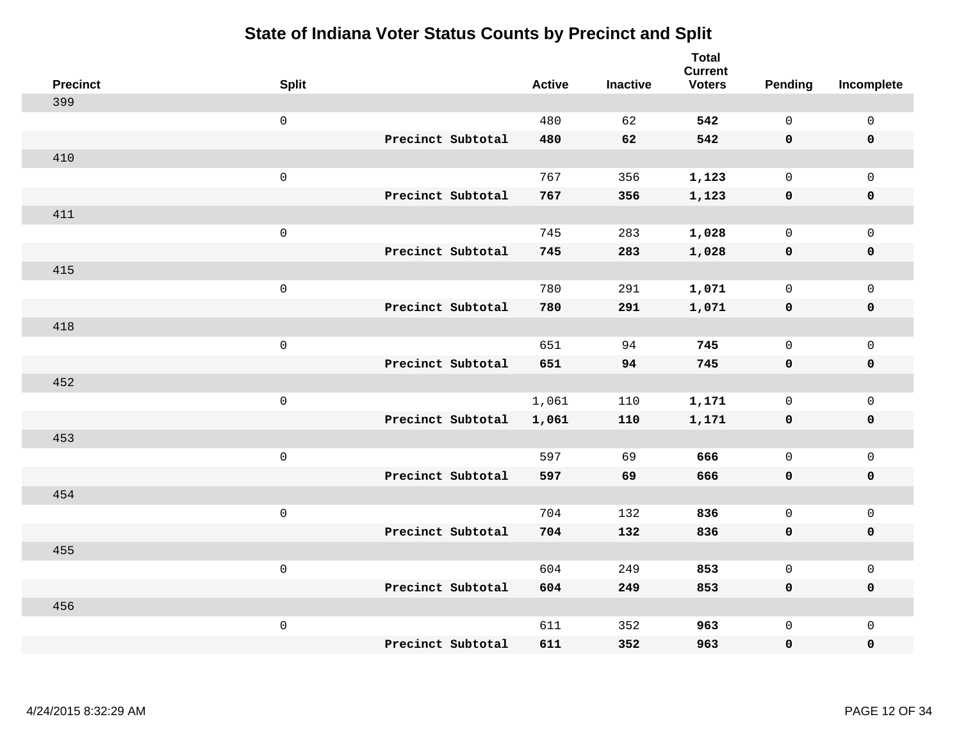| <b>Precinct</b> | <b>Split</b>        | <b>Active</b> | <b>Inactive</b> | <b>Total</b><br><b>Current</b><br><b>Voters</b> | Pending      | Incomplete          |
|-----------------|---------------------|---------------|-----------------|-------------------------------------------------|--------------|---------------------|
| 399             |                     |               |                 |                                                 |              |                     |
|                 | $\mathsf{O}\xspace$ | 480           | 62              | 542                                             | $\mathbf 0$  | $\mathsf{O}$        |
|                 | Precinct Subtotal   | 480           | 62              | 542                                             | $\mathbf 0$  | $\mathbf 0$         |
| 410             |                     |               |                 |                                                 |              |                     |
|                 | $\mathsf{O}\xspace$ | 767           | 356             | 1,123                                           | $\mathbf 0$  | $\mathsf{O}$        |
|                 | Precinct Subtotal   | 767           | 356             | 1,123                                           | $\mathbf 0$  | $\pmb{0}$           |
| 411             |                     |               |                 |                                                 |              |                     |
|                 | $\mathsf 0$         | 745           | 283             | 1,028                                           | $\mathbf 0$  | $\mathsf{O}$        |
|                 | Precinct Subtotal   | 745           | 283             | 1,028                                           | $\mathbf 0$  | $\pmb{0}$           |
| 415             |                     |               |                 |                                                 |              |                     |
|                 | $\mathsf{O}\xspace$ | 780           | 291             | 1,071                                           | $\mathbf 0$  | $\mathbf 0$         |
|                 | Precinct Subtotal   | 780           | 291             | 1,071                                           | $\mathbf 0$  | $\pmb{0}$           |
| 418             |                     |               |                 |                                                 |              |                     |
|                 | $\mathsf{O}\xspace$ | 651           | 94              | 745                                             | $\mathsf{O}$ | $\mathsf{O}$        |
|                 | Precinct Subtotal   | 651           | 94              | 745                                             | $\mathbf 0$  | $\mathbf 0$         |
| 452             |                     |               |                 |                                                 |              |                     |
|                 | $\mathsf{O}\xspace$ | 1,061         | 110             | 1,171                                           | $\mathsf{O}$ | $\mathsf{O}$        |
|                 | Precinct Subtotal   | 1,061         | 110             | 1,171                                           | $\mathbf 0$  | 0                   |
| 453             |                     |               |                 |                                                 |              |                     |
|                 | $\mathsf{O}\xspace$ | 597           | 69              | 666                                             | $\mathsf{O}$ | $\mathsf 0$         |
|                 | Precinct Subtotal   | 597           | 69              | 666                                             | 0            | 0                   |
| 454             |                     |               |                 |                                                 |              |                     |
|                 | $\mathsf{O}\xspace$ | 704           | 132             | 836                                             | $\mathsf{O}$ | $\mathsf{O}$        |
|                 | Precinct Subtotal   | 704           | 132             | 836                                             | $\mathbf 0$  | 0                   |
| 455             |                     |               |                 |                                                 |              |                     |
|                 | $\mathsf{O}\xspace$ | 604           | 249             | 853                                             | $\mathsf{O}$ | $\mathsf 0$         |
|                 | Precinct Subtotal   | 604           | 249             | 853                                             | $\mathbf 0$  | 0                   |
| 456             |                     |               |                 |                                                 |              |                     |
|                 | $\mathsf{O}\xspace$ | 611           | 352             | 963                                             | $\mathsf{O}$ | $\mathsf{O}\xspace$ |
|                 | Precinct Subtotal   | 611           | 352             | 963                                             | 0            | 0                   |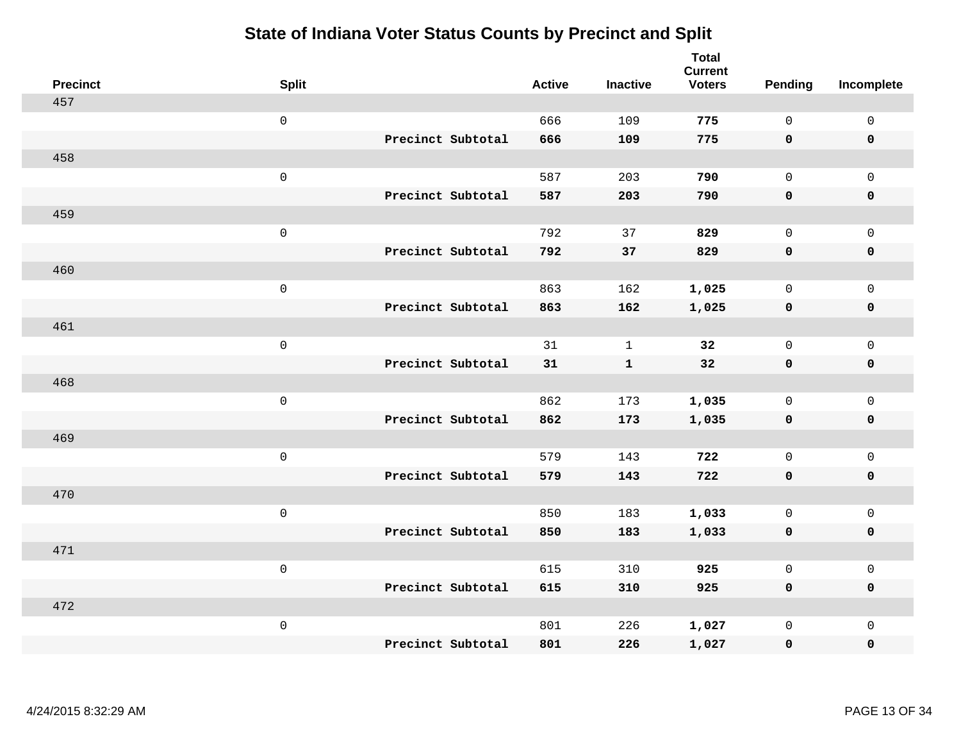| <b>Precinct</b> | <b>Split</b>        |                   | <b>Active</b> | <b>Inactive</b> | <b>Total</b><br><b>Current</b><br><b>Voters</b> | <b>Pending</b> | Incomplete          |
|-----------------|---------------------|-------------------|---------------|-----------------|-------------------------------------------------|----------------|---------------------|
| 457             |                     |                   |               |                 |                                                 |                |                     |
|                 | $\mathsf 0$         |                   | 666           | 109             | 775                                             | $\mathbf 0$    | $\mathsf 0$         |
|                 |                     | Precinct Subtotal | 666           | 109             | 775                                             | $\mathbf 0$    | $\mathbf 0$         |
| 458             |                     |                   |               |                 |                                                 |                |                     |
|                 | $\mathsf{O}\xspace$ |                   | 587           | 203             | 790                                             | $\mathbf 0$    | $\mathsf{O}$        |
|                 |                     | Precinct Subtotal | 587           | 203             | 790                                             | $\mathbf 0$    | 0                   |
| 459             |                     |                   |               |                 |                                                 |                |                     |
|                 | $\mathsf{O}\xspace$ |                   | 792           | 37              | 829                                             | $\mathbf 0$    | $\mathsf{O}\xspace$ |
|                 |                     | Precinct Subtotal | 792           | 37              | 829                                             | 0              | $\pmb{0}$           |
| 460             |                     |                   |               |                 |                                                 |                |                     |
|                 | $\mathsf{O}\xspace$ |                   | 863           | 162             | 1,025                                           | $\mathbf 0$    | $\mathsf{O}$        |
|                 |                     | Precinct Subtotal | 863           | 162             | 1,025                                           | $\mathbf 0$    | 0                   |
| 461             |                     |                   |               |                 |                                                 |                |                     |
|                 | $\mathsf{O}\xspace$ |                   | 31            | $\mathbf{1}$    | 32                                              | $\mathbf 0$    | $\mathsf{O}\xspace$ |
|                 |                     | Precinct Subtotal | 31            | $\mathbf{1}$    | 32                                              | 0              | 0                   |
| 468             |                     |                   |               |                 |                                                 |                |                     |
|                 | $\mathsf 0$         |                   | 862           | 173             | 1,035                                           | $\mathbf 0$    | $\mathsf{O}$        |
|                 |                     | Precinct Subtotal | 862           | 173             | 1,035                                           | $\mathbf 0$    | 0                   |
| 469             |                     |                   |               |                 |                                                 |                |                     |
|                 | $\mathsf{O}\xspace$ |                   | 579           | 143             | 722                                             | $\mathsf{O}$   | $\mathsf{O}$        |
|                 |                     | Precinct Subtotal | 579           | 143             | 722                                             | $\mathbf 0$    | 0                   |
| 470             |                     |                   |               |                 |                                                 |                |                     |
|                 | $\mathsf 0$         |                   | 850           | 183             | 1,033                                           | $\mathsf{O}$   | $\mathsf{O}$        |
|                 |                     | Precinct Subtotal | 850           | 183             | 1,033                                           | 0              | 0                   |
| 471             |                     |                   |               |                 |                                                 |                |                     |
|                 | $\mathsf 0$         |                   | 615           | 310             | 925                                             | $\mathbf 0$    | $\mathsf{O}$        |
|                 |                     | Precinct Subtotal | 615           | 310             | 925                                             | 0              | 0                   |
| 472             |                     |                   |               |                 |                                                 |                |                     |
|                 | $\mathsf 0$         |                   | 801           | 226             | 1,027                                           | $\mathsf{O}$   | $\mathsf{O}$        |
|                 |                     | Precinct Subtotal | 801           | 226             | 1,027                                           | 0              | 0                   |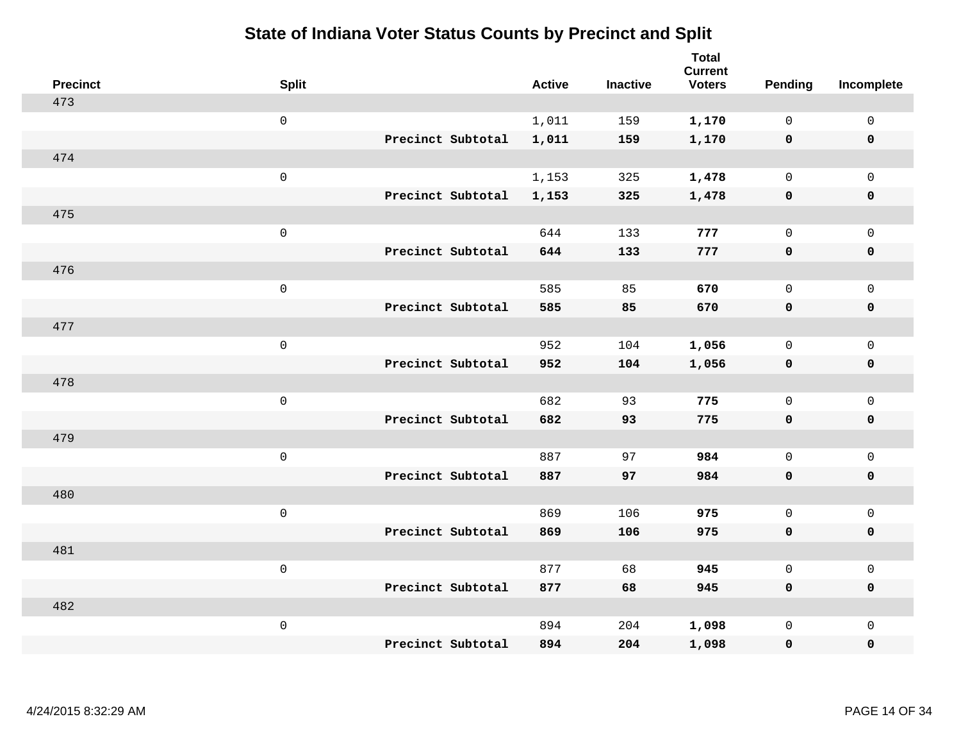| <b>Precinct</b> | <b>Split</b>        |                   | <b>Active</b> | <b>Inactive</b> | <b>Total</b><br><b>Current</b><br><b>Voters</b> | <b>Pending</b> | Incomplete          |
|-----------------|---------------------|-------------------|---------------|-----------------|-------------------------------------------------|----------------|---------------------|
| 473             |                     |                   |               |                 |                                                 |                |                     |
|                 | $\mathsf{O}\xspace$ |                   | 1,011         | 159             | 1,170                                           | $\mathbf{0}$   | $\mathsf{O}$        |
|                 |                     | Precinct Subtotal | 1,011         | 159             | 1,170                                           | $\mathbf 0$    | $\mathbf 0$         |
| 474             |                     |                   |               |                 |                                                 |                |                     |
|                 | $\mathsf{O}\xspace$ |                   | 1,153         | 325             | 1,478                                           | $\mathbf{0}$   | $\mathbf 0$         |
|                 |                     | Precinct Subtotal | 1,153         | 325             | 1,478                                           | 0              | $\mathbf 0$         |
| 475             |                     |                   |               |                 |                                                 |                |                     |
|                 | $\mathsf 0$         |                   | 644           | 133             | 777                                             | 0              | $\mathsf{O}$        |
|                 |                     | Precinct Subtotal | 644           | 133             | 777                                             | 0              | 0                   |
| 476             |                     |                   |               |                 |                                                 |                |                     |
|                 | $\mathsf{O}\xspace$ |                   | 585           | 85              | 670                                             | 0              | $\mathsf{O}$        |
|                 |                     | Precinct Subtotal | 585           | 85              | 670                                             | 0              | $\pmb{0}$           |
| 477             |                     |                   |               |                 |                                                 |                |                     |
|                 | $\mathsf 0$         |                   | 952           | 104             | 1,056                                           | 0              | $\mathbf 0$         |
|                 |                     | Precinct Subtotal | 952           | 104             | 1,056                                           | 0              | $\mathbf 0$         |
| 478             |                     |                   |               |                 |                                                 |                |                     |
|                 | $\mathsf{O}\xspace$ |                   | 682           | 93              | 775                                             | 0              | $\mathbf 0$         |
|                 |                     | Precinct Subtotal | 682           | 93              | 775                                             | 0              | $\mathbf 0$         |
| 479             |                     |                   |               |                 |                                                 |                |                     |
|                 | $\mathsf 0$         |                   | 887           | 97              | 984                                             | $\mathsf{O}$   | $\mathsf{O}\xspace$ |
|                 |                     | Precinct Subtotal | 887           | 97              | 984                                             | 0              | $\mathbf 0$         |
| 480             |                     |                   |               |                 |                                                 |                |                     |
|                 | $\mathsf{O}\xspace$ |                   | 869           | 106             | 975                                             | $\mathbf{0}$   | $\mathbf 0$         |
|                 |                     | Precinct Subtotal | 869           | 106             | 975                                             | 0              | $\pmb{0}$           |
| 481             |                     |                   |               |                 |                                                 |                |                     |
|                 | $\mathsf 0$         |                   | 877           | 68              | 945                                             | 0              | $\mathsf{O}$        |
|                 |                     | Precinct Subtotal | 877           | 68              | 945                                             | 0              | $\mathbf 0$         |
| 482             |                     |                   |               |                 |                                                 |                |                     |
|                 | $\mathbf 0$         |                   | 894           | 204             | 1,098                                           | 0              | $\mathsf{O}$        |
|                 |                     | Precinct Subtotal | 894           | 204             | 1,098                                           | 0              | $\mathbf 0$         |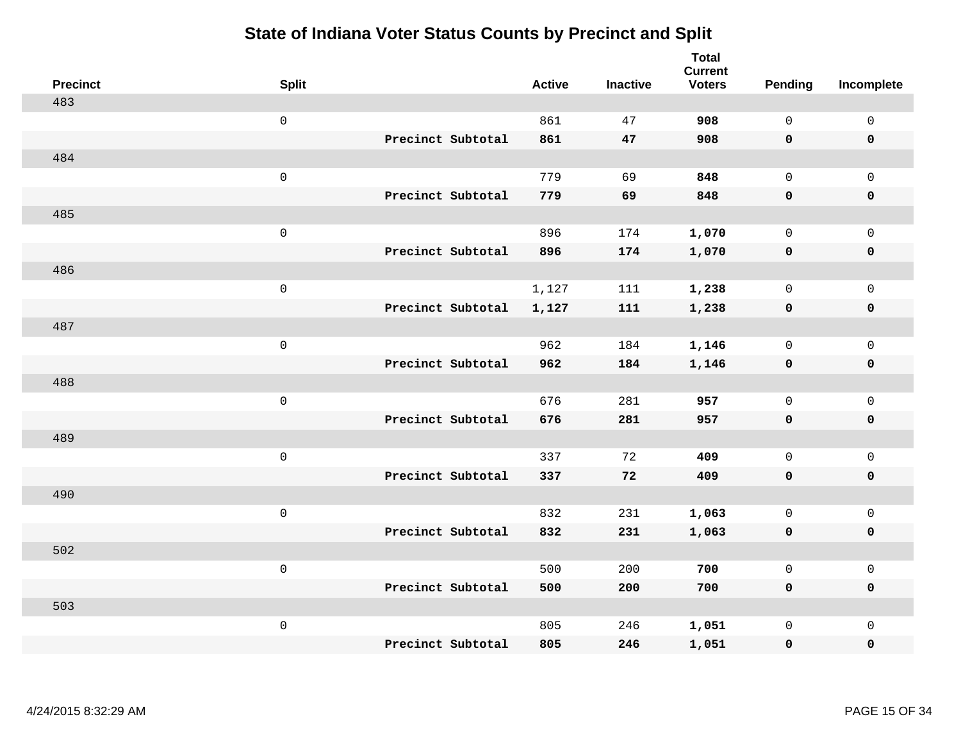| <b>Precinct</b> | <b>Split</b>        |                   | <b>Active</b> | <b>Inactive</b> | <b>Total</b><br><b>Current</b><br><b>Voters</b> | Pending      | Incomplete          |
|-----------------|---------------------|-------------------|---------------|-----------------|-------------------------------------------------|--------------|---------------------|
| 483             |                     |                   |               |                 |                                                 |              |                     |
|                 | $\mathsf 0$         |                   | 861           | 47              | 908                                             | $\mathsf{O}$ | $\mathsf{O}\xspace$ |
|                 |                     | Precinct Subtotal | 861           | 47              | 908                                             | $\mathbf 0$  | 0                   |
| 484             |                     |                   |               |                 |                                                 |              |                     |
|                 | $\mathsf 0$         |                   | 779           | 69              | 848                                             | $\mathbf 0$  | $\mathsf{O}$        |
|                 |                     | Precinct Subtotal | 779           | 69              | 848                                             | $\mathbf 0$  | $\pmb{0}$           |
| 485             |                     |                   |               |                 |                                                 |              |                     |
|                 | $\mathsf 0$         |                   | 896           | 174             | 1,070                                           | $\mathsf{O}$ | $\mathsf{O}$        |
|                 |                     | Precinct Subtotal | 896           | 174             | 1,070                                           | 0            | 0                   |
| 486             |                     |                   |               |                 |                                                 |              |                     |
|                 | $\mathsf{O}\xspace$ |                   | 1,127         | 111             | 1,238                                           | $\mathbf 0$  | $\mathsf{O}$        |
|                 |                     | Precinct Subtotal | 1,127         | 111             | 1,238                                           | $\mathbf 0$  | $\pmb{0}$           |
| 487             |                     |                   |               |                 |                                                 |              |                     |
|                 | $\mathsf 0$         |                   | 962           | 184             | 1,146                                           | $\mathbf 0$  | $\mathsf{O}\xspace$ |
|                 |                     | Precinct Subtotal | 962           | 184             | 1,146                                           | 0            | $\pmb{0}$           |
| 488             |                     |                   |               |                 |                                                 |              |                     |
|                 | $\mathsf{O}\xspace$ |                   | 676           | 281             | 957                                             | $\mathbf{0}$ | $\mathsf{O}\xspace$ |
|                 |                     | Precinct Subtotal | 676           | 281             | 957                                             | 0            | 0                   |
| 489             |                     |                   |               |                 |                                                 |              |                     |
|                 | $\mathsf{O}\xspace$ |                   | 337           | 72              | 409                                             | $\mathbf 0$  | $\mathsf{O}$        |
|                 |                     | Precinct Subtotal | 337           | 72              | 409                                             | 0            | 0                   |
| 490             |                     |                   |               |                 |                                                 |              |                     |
|                 | $\mathsf 0$         |                   | 832           | 231             | 1,063                                           | $\mathsf{O}$ | $\mathsf{O}$        |
|                 |                     | Precinct Subtotal | 832           | 231             | 1,063                                           | 0            | 0                   |
| 502             |                     |                   |               |                 |                                                 |              |                     |
|                 | $\mathsf 0$         |                   | 500           | 200             | 700                                             | $\mathsf{O}$ | $\mathsf{O}\xspace$ |
|                 |                     | Precinct Subtotal | 500           | 200             | 700                                             | 0            | 0                   |
| 503             |                     |                   |               |                 |                                                 |              |                     |
|                 | $\mathsf 0$         |                   | 805           | 246             | 1,051                                           | $\mathsf{O}$ | $\mathsf{O}$        |
|                 |                     | Precinct Subtotal | 805           | 246             | 1,051                                           | 0            | 0                   |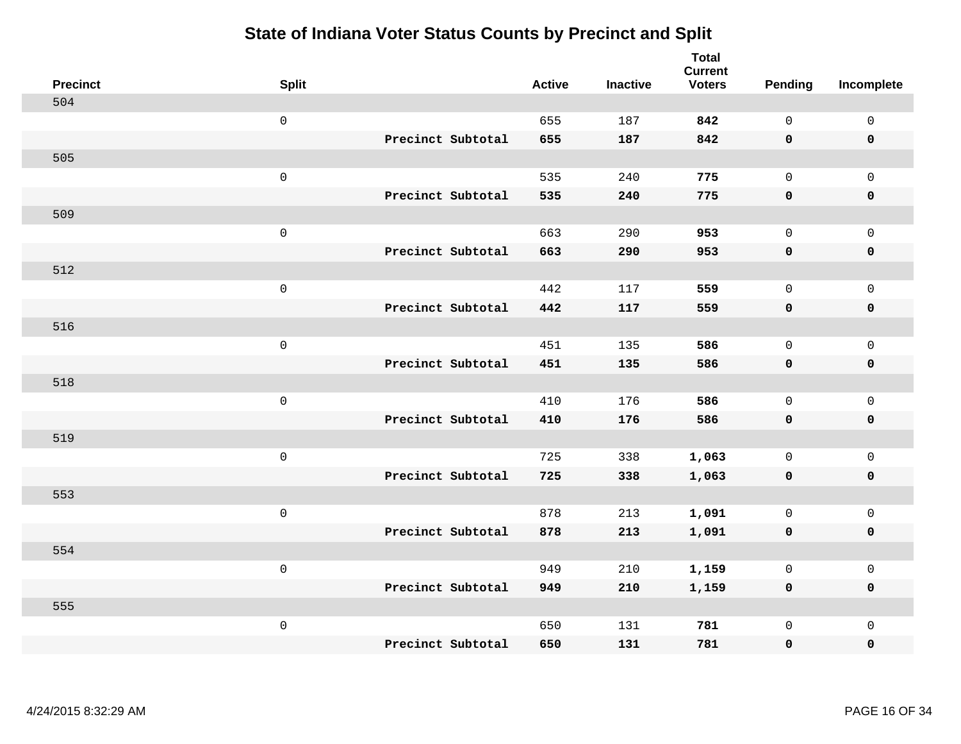| <b>Precinct</b> | <b>Split</b>        |                   | <b>Active</b> | <b>Inactive</b> | <b>Total</b><br><b>Current</b><br><b>Voters</b> | <b>Pending</b> | Incomplete          |
|-----------------|---------------------|-------------------|---------------|-----------------|-------------------------------------------------|----------------|---------------------|
| 504             |                     |                   |               |                 |                                                 |                |                     |
|                 | $\mathsf{O}\xspace$ |                   | 655           | 187             | 842                                             | $\mathbf 0$    | $\mathsf 0$         |
|                 |                     | Precinct Subtotal | 655           | 187             | 842                                             | $\mathbf 0$    | $\mathbf 0$         |
| 505             |                     |                   |               |                 |                                                 |                |                     |
|                 | $\mathbf 0$         |                   | 535           | 240             | 775                                             | $\mathbf 0$    | $\mathbf 0$         |
|                 |                     | Precinct Subtotal | 535           | 240             | 775                                             | $\mathbf 0$    | $\pmb{0}$           |
| 509             |                     |                   |               |                 |                                                 |                |                     |
|                 | $\mathsf 0$         |                   | 663           | 290             | 953                                             | $\mathbf 0$    | $\mathsf 0$         |
|                 |                     | Precinct Subtotal | 663           | 290             | 953                                             | $\mathbf 0$    | $\mathbf 0$         |
| 512             |                     |                   |               |                 |                                                 |                |                     |
|                 | $\mathbf 0$         |                   | 442           | 117             | 559                                             | $\mathbf 0$    | $\mathbf 0$         |
|                 |                     | Precinct Subtotal | 442           | 117             | 559                                             | $\mathbf 0$    | $\mathbf 0$         |
| 516             |                     |                   |               |                 |                                                 |                |                     |
|                 | $\mathsf 0$         |                   | 451           | 135             | 586                                             | $\Omega$       | $\mathbf{0}$        |
|                 |                     | Precinct Subtotal | 451           | 135             | 586                                             | $\mathbf 0$    | $\mathbf 0$         |
| 518             |                     |                   |               |                 |                                                 |                |                     |
|                 | $\mathbf 0$         |                   | 410           | 176             | 586                                             | $\mathbf 0$    | $\mathsf{O}\xspace$ |
|                 |                     | Precinct Subtotal | 410           | 176             | 586                                             | $\mathbf 0$    | $\mathbf 0$         |
| 519             |                     |                   |               |                 |                                                 |                |                     |
|                 | $\mathbf 0$         |                   | 725           | 338             | 1,063                                           | $\mathbf 0$    | $\mathsf{O}\xspace$ |
|                 |                     | Precinct Subtotal | 725           | 338             | 1,063                                           | 0              | $\mathbf 0$         |
| 553             |                     |                   |               |                 |                                                 |                |                     |
|                 | $\mathbf 0$         |                   | 878           | 213             | 1,091                                           | $\mathbf 0$    | $\mathsf{O}\xspace$ |
|                 |                     | Precinct Subtotal | 878           | 213             | 1,091                                           | $\mathbf 0$    | $\mathbf 0$         |
| 554             |                     |                   |               |                 |                                                 |                |                     |
|                 | $\mathsf 0$         |                   | 949           | 210             | 1,159                                           | 0              | $\mathsf 0$         |
|                 |                     | Precinct Subtotal | 949           | 210             | 1,159                                           | $\mathbf 0$    | $\mathbf 0$         |
| 555             |                     |                   |               |                 |                                                 |                |                     |
|                 | $\mathbf 0$         |                   | 650           | 131             | 781                                             | $\mathbf 0$    | $\mathbf 0$         |
|                 |                     | Precinct Subtotal | 650           | 131             | 781                                             | 0              | $\pmb{0}$           |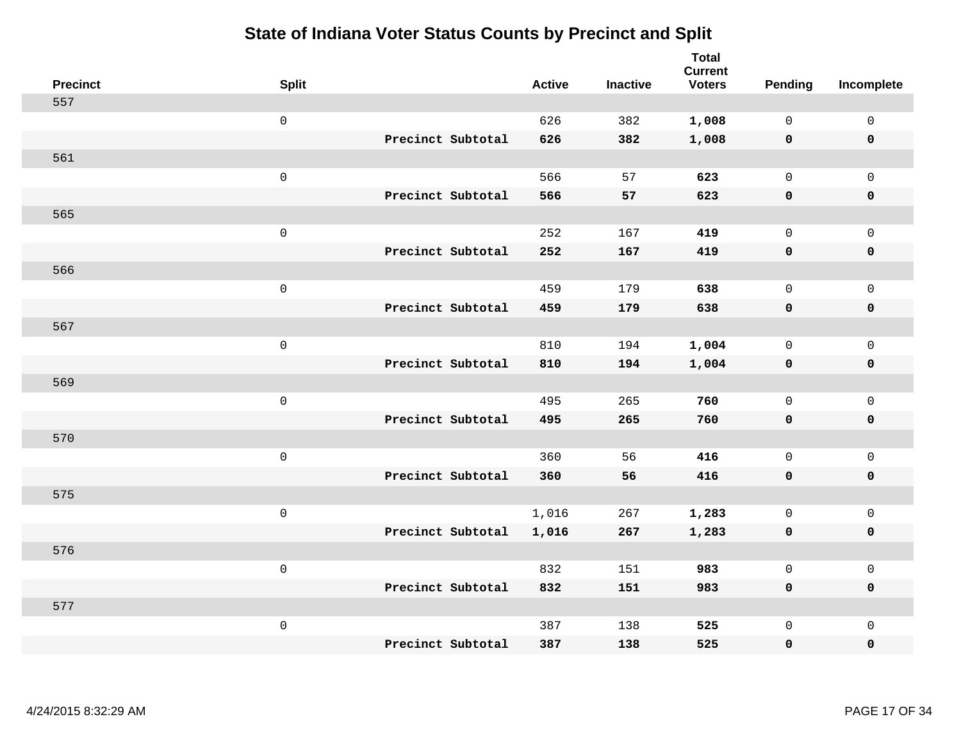| <b>Precinct</b> | <b>Split</b>        |                   | <b>Active</b> | <b>Inactive</b> | <b>Total</b><br><b>Current</b><br><b>Voters</b> | Pending      | Incomplete          |
|-----------------|---------------------|-------------------|---------------|-----------------|-------------------------------------------------|--------------|---------------------|
| 557             |                     |                   |               |                 |                                                 |              |                     |
|                 | $\mathsf{O}$        |                   | 626           | 382             | 1,008                                           | $\mathbf 0$  | $\mathsf{O}\xspace$ |
|                 |                     | Precinct Subtotal | 626           | 382             | 1,008                                           | $\mathbf 0$  | $\pmb{0}$           |
| 561             |                     |                   |               |                 |                                                 |              |                     |
|                 | $\mathsf 0$         |                   | 566           | 57              | 623                                             | $\mathbf 0$  | $\overline{0}$      |
|                 |                     | Precinct Subtotal | 566           | 57              | 623                                             | $\mathbf 0$  | $\pmb{0}$           |
| 565             |                     |                   |               |                 |                                                 |              |                     |
|                 | $\mathsf 0$         |                   | 252           | 167             | 419                                             | $\mathbf 0$  | $\mathsf{O}$        |
|                 |                     | Precinct Subtotal | 252           | 167             | 419                                             | 0            | 0                   |
| 566             |                     |                   |               |                 |                                                 |              |                     |
|                 | $\mathbf 0$         |                   | 459           | 179             | 638                                             | $\mathbf 0$  | $\mathsf{O}\xspace$ |
|                 |                     | Precinct Subtotal | 459           | 179             | 638                                             | 0            | 0                   |
| 567             |                     |                   |               |                 |                                                 |              |                     |
|                 | $\mathbf 0$         |                   | 810           | 194             | 1,004                                           | $\mathbf 0$  | $\mathsf{O}\xspace$ |
|                 |                     | Precinct Subtotal | 810           | 194             | 1,004                                           | 0            | 0                   |
| 569             |                     |                   |               |                 |                                                 |              |                     |
|                 | $\mathsf{O}\xspace$ |                   | 495           | 265             | 760                                             | $\mathbf 0$  | $\mathsf{O}\xspace$ |
|                 |                     | Precinct Subtotal | 495           | 265             | 760                                             | 0            | 0                   |
| 570             |                     |                   |               |                 |                                                 |              |                     |
|                 | $\mathbf 0$         |                   | 360           | 56              | 416                                             | $\mathbf 0$  | $\mathsf{O}$        |
|                 |                     | Precinct Subtotal | 360           | 56              | 416                                             | 0            | 0                   |
| 575             |                     |                   |               |                 |                                                 |              |                     |
|                 | $\mathsf{O}\xspace$ |                   | 1,016         | 267             | 1,283                                           | 0            | $\mathsf 0$         |
|                 |                     | Precinct Subtotal | 1,016         | 267             | 1,283                                           | 0            | 0                   |
| 576             |                     |                   |               |                 |                                                 |              |                     |
|                 | $\mathsf 0$         |                   | 832           | 151             | 983                                             | $\mathsf{O}$ | $\mathsf 0$         |
|                 |                     | Precinct Subtotal | 832           | 151             | 983                                             | 0            | 0                   |
| 577             |                     |                   |               |                 |                                                 |              |                     |
|                 | $\mathbf 0$         |                   | 387           | 138             | 525                                             | $\mathsf{O}$ | $\mathsf{O}$        |
|                 |                     | Precinct Subtotal | 387           | 138             | 525                                             | 0            | 0                   |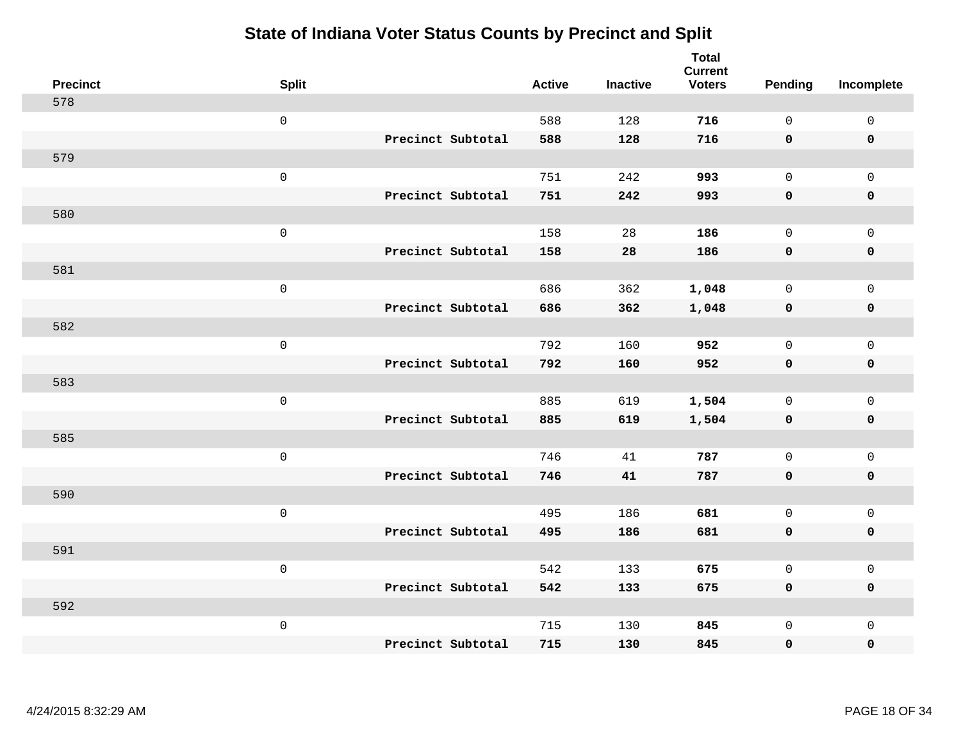| <b>Precinct</b> | <b>Split</b>        |                   | <b>Active</b> | <b>Inactive</b> | <b>Total</b><br><b>Current</b><br><b>Voters</b> | <b>Pending</b> | Incomplete          |
|-----------------|---------------------|-------------------|---------------|-----------------|-------------------------------------------------|----------------|---------------------|
| 578             |                     |                   |               |                 |                                                 |                |                     |
|                 | $\mathsf{O}\xspace$ |                   | 588           | 128             | 716                                             | $\mathbf 0$    | $\mathbf 0$         |
|                 |                     | Precinct Subtotal | 588           | 128             | 716                                             | $\mathbf 0$    | $\mathbf 0$         |
| 579             |                     |                   |               |                 |                                                 |                |                     |
|                 | $\mathsf 0$         |                   | 751           | 242             | 993                                             | $\mathbf 0$    | $\mathbf 0$         |
|                 |                     | Precinct Subtotal | 751           | 242             | 993                                             | $\mathbf 0$    | $\pmb{0}$           |
| 580             |                     |                   |               |                 |                                                 |                |                     |
|                 | $\mathsf 0$         |                   | 158           | 28              | 186                                             | $\mathbf 0$    | $\mathbf 0$         |
|                 |                     | Precinct Subtotal | 158           | 28              | 186                                             | $\mathbf 0$    | $\mathbf 0$         |
| 581             |                     |                   |               |                 |                                                 |                |                     |
|                 | $\mathbf 0$         |                   | 686           | 362             | 1,048                                           | $\mathbf 0$    | $\mathbf 0$         |
|                 |                     | Precinct Subtotal | 686           | 362             | 1,048                                           | $\mathbf 0$    | $\mathbf 0$         |
| 582             |                     |                   |               |                 |                                                 |                |                     |
|                 | $\mathsf 0$         |                   | 792           | 160             | 952                                             | $\Omega$       | $\mathbf{0}$        |
|                 |                     | Precinct Subtotal | 792           | 160             | 952                                             | $\mathbf 0$    | $\mathbf 0$         |
| 583             |                     |                   |               |                 |                                                 |                |                     |
|                 | $\mathbf 0$         |                   | 885           | 619             | 1,504                                           | $\mathbf 0$    | $\mathbf 0$         |
|                 |                     | Precinct Subtotal | 885           | 619             | 1,504                                           | $\mathbf 0$    | $\mathbf 0$         |
| 585             |                     |                   |               |                 |                                                 |                |                     |
|                 | $\mathbf 0$         |                   | 746           | 41              | 787                                             | $\mathbf 0$    | $\mathsf{O}\xspace$ |
|                 |                     | Precinct Subtotal | 746           | 41              | 787                                             | $\mathbf 0$    | $\mathbf 0$         |
| 590             |                     |                   |               |                 |                                                 |                |                     |
|                 | $\mathbf 0$         |                   | 495           | 186             | 681                                             | $\mathbf 0$    | $\mathsf{O}\xspace$ |
|                 |                     | Precinct Subtotal | 495           | 186             | 681                                             | $\mathbf 0$    | $\mathbf 0$         |
| 591             |                     |                   |               |                 |                                                 |                |                     |
|                 | $\mathsf 0$         |                   | 542           | 133             | 675                                             | $\mathsf{O}$   | $\mathsf 0$         |
|                 |                     | Precinct Subtotal | 542           | 133             | 675                                             | $\mathbf 0$    | $\mathbf 0$         |
| 592             |                     |                   |               |                 |                                                 |                |                     |
|                 | $\mathbf 0$         |                   | 715           | 130             | 845                                             | $\mathbf 0$    | $\mathbf 0$         |
|                 |                     | Precinct Subtotal | 715           | 130             | 845                                             | $\mathbf 0$    | $\pmb{0}$           |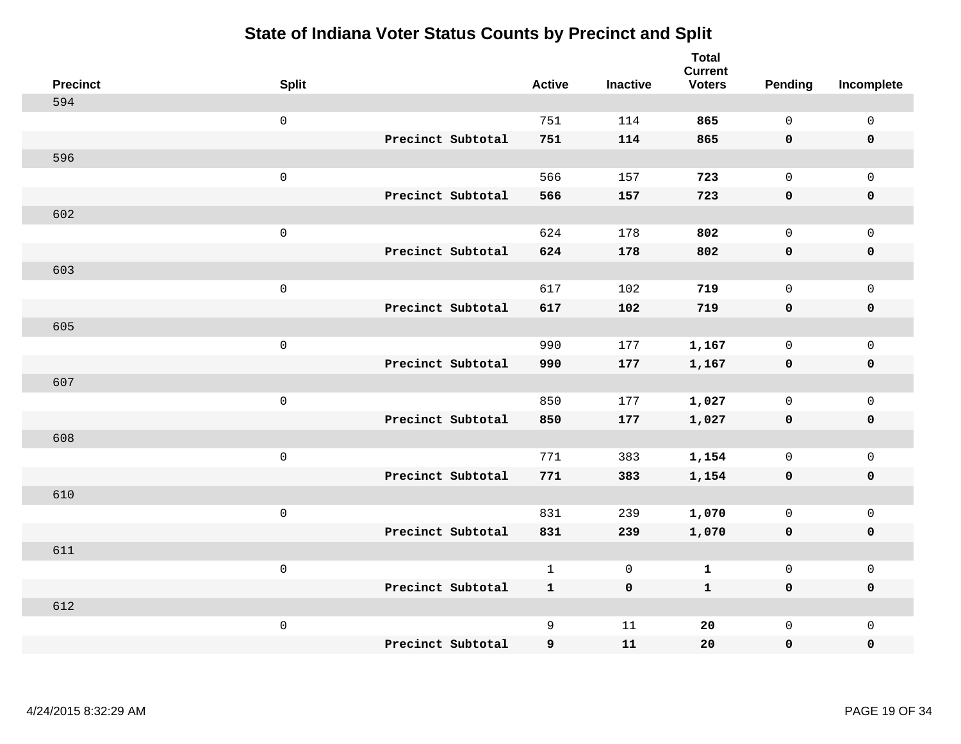| <b>Precinct</b> | <b>Split</b>        |                   | <b>Active</b> | <b>Inactive</b> | <b>Total</b><br><b>Current</b><br><b>Voters</b> | <b>Pending</b> | Incomplete          |
|-----------------|---------------------|-------------------|---------------|-----------------|-------------------------------------------------|----------------|---------------------|
| 594             |                     |                   |               |                 |                                                 |                |                     |
|                 | $\mathsf{O}\xspace$ |                   | 751           | 114             | 865                                             | $\mathbf 0$    | $\mathsf 0$         |
|                 |                     | Precinct Subtotal | 751           | 114             | 865                                             | $\mathbf 0$    | $\mathbf 0$         |
| 596             |                     |                   |               |                 |                                                 |                |                     |
|                 | $\mathsf 0$         |                   | 566           | 157             | 723                                             | $\mathsf{O}$   | $\mathbf 0$         |
|                 |                     | Precinct Subtotal | 566           | 157             | 723                                             | $\mathbf 0$    | $\pmb{0}$           |
| 602             |                     |                   |               |                 |                                                 |                |                     |
|                 | $\mathsf 0$         |                   | 624           | 178             | 802                                             | $\mathbf 0$    | $\mathsf{O}\xspace$ |
|                 |                     | Precinct Subtotal | 624           | 178             | 802                                             | $\mathbf 0$    | $\mathbf 0$         |
| 603             |                     |                   |               |                 |                                                 |                |                     |
|                 | $\mathbf 0$         |                   | 617           | 102             | 719                                             | $\mathbf 0$    | $\mathbf 0$         |
|                 |                     | Precinct Subtotal | 617           | 102             | 719                                             | $\mathbf 0$    | $\mathbf 0$         |
| 605             |                     |                   |               |                 |                                                 |                |                     |
|                 | $\mathsf 0$         |                   | 990           | 177             | 1,167                                           | $\mathbf 0$    | $\mathbf 0$         |
|                 |                     | Precinct Subtotal | 990           | 177             | 1,167                                           | 0              | $\mathbf 0$         |
| 607             |                     |                   |               |                 |                                                 |                |                     |
|                 | $\mathbf 0$         |                   | 850           | 177             | 1,027                                           | $\mathsf{O}$   | $\mathsf 0$         |
|                 |                     | Precinct Subtotal | 850           | 177             | 1,027                                           | $\mathbf 0$    | $\mathbf 0$         |
| 608             |                     |                   |               |                 |                                                 |                |                     |
|                 | $\mathbf 0$         |                   | 771           | 383             | 1,154                                           | $\mathbf 0$    | $\mathsf 0$         |
|                 |                     | Precinct Subtotal | 771           | 383             | 1,154                                           | 0              | $\mathbf 0$         |
| 610             |                     |                   |               |                 |                                                 |                |                     |
|                 | $\mathbf 0$         |                   | 831           | 239             | 1,070                                           | $\mathbf 0$    | $\mathsf 0$         |
|                 |                     | Precinct Subtotal | 831           | 239             | 1,070                                           | $\mathbf 0$    | $\mathbf 0$         |
| 611             |                     |                   |               |                 |                                                 |                |                     |
|                 | $\mathsf 0$         |                   | $\mathbf{1}$  | 0               | $\mathbf 1$                                     | $\mathsf{O}$   | $\mathsf 0$         |
|                 |                     | Precinct Subtotal | $\mathbf{1}$  | $\mathbf 0$     | $\mathbf{1}$                                    | $\mathbf 0$    | $\mathbf 0$         |
| 612             |                     |                   |               |                 |                                                 |                |                     |
|                 | $\mathbf 0$         |                   | 9             | 11              | 20                                              | $\mathsf{O}$   | $\mathbf 0$         |
|                 |                     | Precinct Subtotal | 9             | 11              | 20                                              | 0              | $\pmb{0}$           |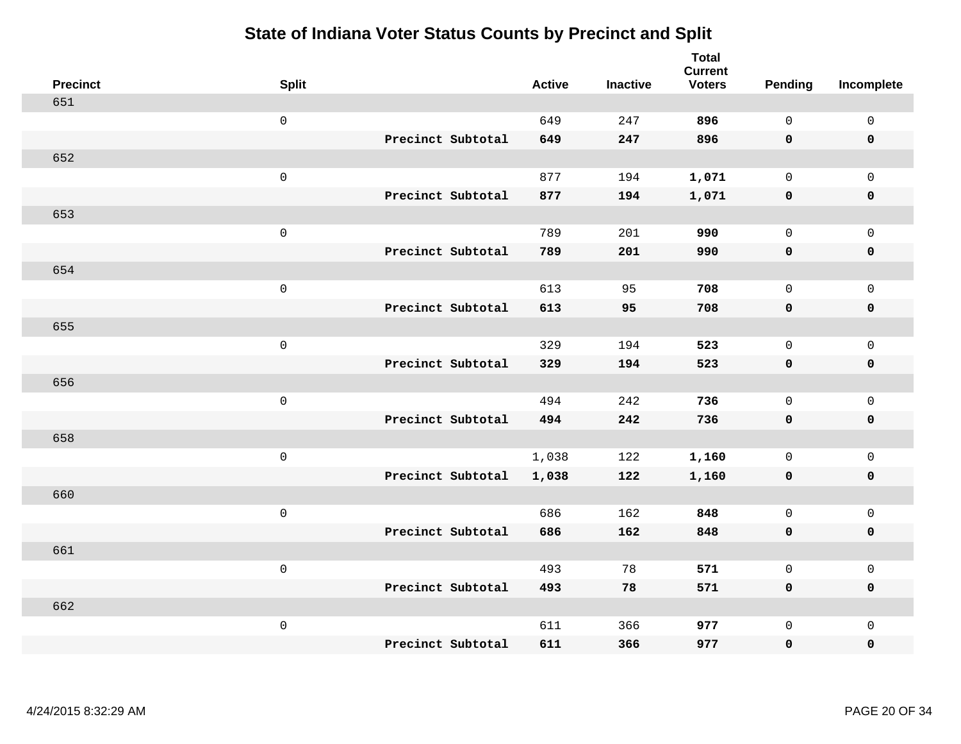| <b>Precinct</b> | <b>Split</b>        |                   | <b>Active</b> | <b>Inactive</b> | <b>Total</b><br><b>Current</b><br><b>Voters</b> | Pending      | Incomplete          |
|-----------------|---------------------|-------------------|---------------|-----------------|-------------------------------------------------|--------------|---------------------|
| 651             |                     |                   |               |                 |                                                 |              |                     |
|                 | $\mathsf 0$         |                   | 649           | 247             | 896                                             | $\mathbf{0}$ | $\mathsf 0$         |
|                 |                     | Precinct Subtotal | 649           | 247             | 896                                             | $\mathbf 0$  | $\mathbf 0$         |
| 652             |                     |                   |               |                 |                                                 |              |                     |
|                 | $\mathsf 0$         |                   | 877           | 194             | 1,071                                           | $\mathbf 0$  | $\mathsf{O}$        |
|                 |                     | Precinct Subtotal | 877           | 194             | 1,071                                           | $\mathbf 0$  | 0                   |
| 653             |                     |                   |               |                 |                                                 |              |                     |
|                 | $\mathsf 0$         |                   | 789           | 201             | 990                                             | $\mathbf{0}$ | $\mathsf{O}$        |
|                 |                     | Precinct Subtotal | 789           | 201             | 990                                             | 0            | 0                   |
| 654             |                     |                   |               |                 |                                                 |              |                     |
|                 | $\mathsf 0$         |                   | 613           | 95              | 708                                             | $\mathbf 0$  | $\mathsf{O}\xspace$ |
|                 |                     | Precinct Subtotal | 613           | 95              | 708                                             | $\mathbf 0$  | $\pmb{0}$           |
| 655             |                     |                   |               |                 |                                                 |              |                     |
|                 | $\mathsf 0$         |                   | 329           | 194             | 523                                             | $\mathbf{0}$ | $\mathsf 0$         |
|                 |                     | Precinct Subtotal | 329           | 194             | 523                                             | 0            | $\pmb{0}$           |
| 656             |                     |                   |               |                 |                                                 |              |                     |
|                 | $\mathbf 0$         |                   | 494           | 242             | 736                                             | $\mathbf 0$  | $\mathsf{O}$        |
|                 |                     | Precinct Subtotal | 494           | 242             | 736                                             | $\mathbf 0$  | 0                   |
| 658             |                     |                   |               |                 |                                                 |              |                     |
|                 | $\mathbf 0$         |                   | 1,038         | 122             | 1,160                                           | $\mathbf 0$  | $\mathsf{O}\xspace$ |
|                 |                     | Precinct Subtotal | 1,038         | 122             | 1,160                                           | 0            | 0                   |
| 660             |                     |                   |               |                 |                                                 |              |                     |
|                 | $\mathsf{O}\xspace$ |                   | 686           | 162             | 848                                             | $\mathbf 0$  | $\mathsf{O}\xspace$ |
|                 |                     | Precinct Subtotal | 686           | 162             | 848                                             | 0            | 0                   |
| 661             |                     |                   |               |                 |                                                 |              |                     |
|                 | $\mathsf 0$         |                   | 493           | 78              | 571                                             | $\mathbf 0$  | $\mathsf 0$         |
|                 |                     | Precinct Subtotal | 493           | 78              | 571                                             | 0            | 0                   |
| 662             |                     |                   |               |                 |                                                 |              |                     |
|                 | $\mathbf 0$         |                   | 611           | 366             | 977                                             | $\mathsf{O}$ | $\mathsf{O}$        |
|                 |                     | Precinct Subtotal | 611           | 366             | 977                                             | 0            | 0                   |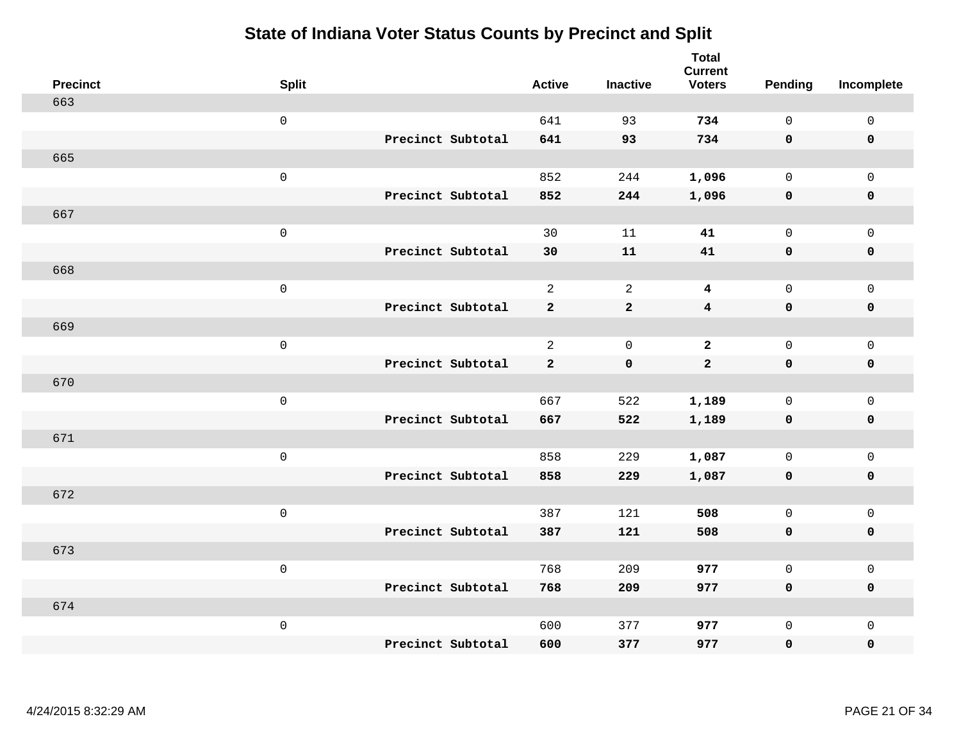| <b>Precinct</b> | <b>Split</b>        |                   | <b>Active</b>  | <b>Inactive</b> | <b>Total</b><br><b>Current</b><br><b>Voters</b> | <b>Pending</b> | Incomplete          |
|-----------------|---------------------|-------------------|----------------|-----------------|-------------------------------------------------|----------------|---------------------|
| 663             |                     |                   |                |                 |                                                 |                |                     |
|                 | $\mathsf{O}$        |                   | 641            | 93              | 734                                             | $\mathbf 0$    | $\mathsf 0$         |
|                 |                     | Precinct Subtotal | 641            | 93              | 734                                             | $\mathbf 0$    | $\mathbf 0$         |
| 665             |                     |                   |                |                 |                                                 |                |                     |
|                 | $\mathsf{O}$        |                   | 852            | 244             | 1,096                                           | $\mathbf 0$    | $\mathsf{O}$        |
|                 |                     | Precinct Subtotal | 852            | 244             | 1,096                                           | $\mathbf 0$    | 0                   |
| 667             |                     |                   |                |                 |                                                 |                |                     |
|                 | $\mathsf 0$         |                   | 30             | 11              | 41                                              | $\mathbf 0$    | $\mathsf{O}\xspace$ |
|                 |                     | Precinct Subtotal | 30             | 11              | 41                                              | 0              | $\pmb{0}$           |
| 668             |                     |                   |                |                 |                                                 |                |                     |
|                 | $\mathsf{O}\xspace$ |                   | $\overline{a}$ | 2               | 4                                               | $\mathbf 0$    | $\mathsf{O}$        |
|                 |                     | Precinct Subtotal | $\mathbf{2}$   | $\mathbf{2}$    | $\overline{\mathbf{4}}$                         | $\mathbf 0$    | 0                   |
| 669             |                     |                   |                |                 |                                                 |                |                     |
|                 | $\mathbf 0$         |                   | $\overline{2}$ | $\overline{0}$  | $\overline{a}$                                  | $\mathbf 0$    | $\mathsf{O}\xspace$ |
|                 |                     | Precinct Subtotal | $\mathbf{2}$   | $\mathbf 0$     | $\overline{a}$                                  | 0              | 0                   |
| 670             |                     |                   |                |                 |                                                 |                |                     |
|                 | $\mathsf{O}\xspace$ |                   | 667            | 522             | 1,189                                           | $\mathbf 0$    | $\mathsf{O}\xspace$ |
|                 |                     | Precinct Subtotal | 667            | 522             | 1,189                                           | $\mathbf 0$    | 0                   |
| 671             |                     |                   |                |                 |                                                 |                |                     |
|                 | $\mathbf 0$         |                   | 858            | 229             | 1,087                                           | $\mathbf 0$    | $\mathsf{O}$        |
|                 |                     | Precinct Subtotal | 858            | 229             | 1,087                                           | 0              | 0                   |
| 672             |                     |                   |                |                 |                                                 |                |                     |
|                 | $\mathbf 0$         |                   | 387            | 121             | 508                                             | $\mathbf 0$    | $\mathsf{O}\xspace$ |
|                 |                     | Precinct Subtotal | 387            | 121             | 508                                             | $\mathbf 0$    | 0                   |
| 673             |                     |                   |                |                 |                                                 |                |                     |
|                 | $\mathbf 0$         |                   | 768            | 209             | 977                                             | $\mathbf{0}$   | $\mathsf{O}$        |
|                 |                     | Precinct Subtotal | 768            | 209             | 977                                             | 0              | 0                   |
| 674             |                     |                   |                |                 |                                                 |                |                     |
|                 | $\mathbf 0$         |                   | 600            | 377             | 977                                             | $\mathsf{O}$   | $\mathsf{O}$        |
|                 |                     | Precinct Subtotal | 600            | 377             | 977                                             | 0              | 0                   |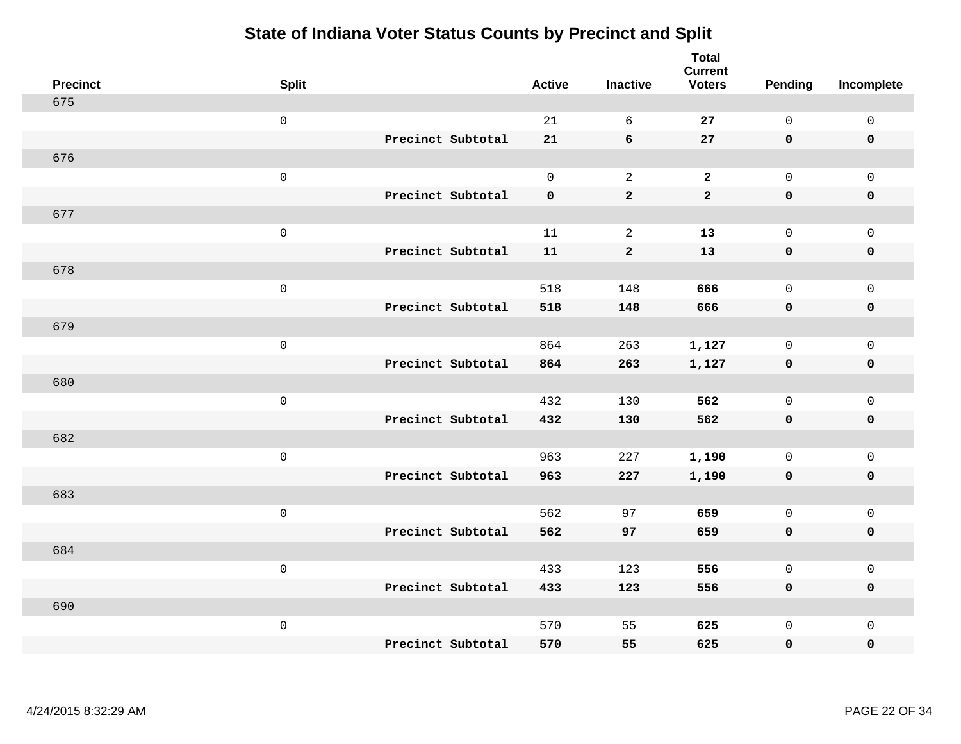| <b>Precinct</b> | <b>Split</b>        |                   | <b>Active</b> | <b>Inactive</b> | <b>Total</b><br><b>Current</b><br><b>Voters</b> | <b>Pending</b>      | Incomplete          |
|-----------------|---------------------|-------------------|---------------|-----------------|-------------------------------------------------|---------------------|---------------------|
| 675             |                     |                   |               |                 |                                                 |                     |                     |
|                 | $\mathsf{O}\xspace$ |                   | 21            | 6               | 27                                              | $\mathsf{O}$        | $\mathsf 0$         |
|                 |                     | Precinct Subtotal | 21            | 6               | 27                                              | $\mathbf 0$         | $\mathbf 0$         |
| 676             |                     |                   |               |                 |                                                 |                     |                     |
|                 | $\mathsf{O}\xspace$ |                   | $\mathsf{O}$  | 2               | $\overline{a}$                                  | $\mathsf{O}\xspace$ | $\mathsf 0$         |
|                 |                     | Precinct Subtotal | $\mathbf 0$   | $\mathbf 2$     | $\mathbf{2}$                                    | $\mathbf 0$         | $\pmb{0}$           |
| 677             |                     |                   |               |                 |                                                 |                     |                     |
|                 | $\mathsf{O}\xspace$ |                   | 11            | $\sqrt{2}$      | 13                                              | $\mathsf{O}$        | $\mathsf 0$         |
|                 |                     | Precinct Subtotal | 11            | $\mathbf{2}$    | 13                                              | $\mathbf 0$         | $\mathbf 0$         |
| 678             |                     |                   |               |                 |                                                 |                     |                     |
|                 | $\mathsf 0$         |                   | 518           | 148             | 666                                             | $\mathsf{O}$        | $\mathsf 0$         |
|                 |                     | Precinct Subtotal | 518           | 148             | 666                                             | $\mathbf 0$         | $\pmb{0}$           |
| 679             |                     |                   |               |                 |                                                 |                     |                     |
|                 | $\mathsf 0$         |                   | 864           | 263             | 1,127                                           | $\mathsf{O}$        | $\mathsf 0$         |
|                 |                     | Precinct Subtotal | 864           | 263             | 1,127                                           | $\mathbf 0$         | $\mathbf 0$         |
| 680             |                     |                   |               |                 |                                                 |                     |                     |
|                 | $\mathsf 0$         |                   | 432           | 130             | 562                                             | $\mathbf 0$         | $\mathsf 0$         |
|                 |                     | Precinct Subtotal | 432           | 130             | 562                                             | $\mathbf 0$         | $\mathbf 0$         |
| 682             |                     |                   |               |                 |                                                 |                     |                     |
|                 | $\mathsf 0$         |                   | 963           | 227             | 1,190                                           | $\mathbf 0$         | $\mathsf 0$         |
|                 |                     | Precinct Subtotal | 963           | 227             | 1,190                                           | $\mathbf 0$         | $\mathbf 0$         |
| 683             |                     |                   |               |                 |                                                 |                     |                     |
|                 | $\mathsf 0$         |                   | 562           | 97              | 659                                             | $\mathsf{O}$        | $\mathsf 0$         |
|                 |                     | Precinct Subtotal | 562           | 97              | 659                                             | $\mathbf 0$         | $\mathbf 0$         |
| 684             |                     |                   |               |                 |                                                 |                     |                     |
|                 | $\mathsf{O}\xspace$ |                   | 433           | 123             | 556                                             | $\mathbf 0$         | $\mathsf{O}\xspace$ |
|                 |                     | Precinct Subtotal | 433           | 123             | 556                                             | $\mathbf 0$         | $\mathbf 0$         |
| 690             |                     |                   |               |                 |                                                 |                     |                     |
|                 | $\mathbf 0$         |                   | 570           | 55              | 625                                             | $\mathsf{O}$        | $\mathbf 0$         |
|                 |                     | Precinct Subtotal | 570           | 55              | 625                                             | 0                   | $\pmb{0}$           |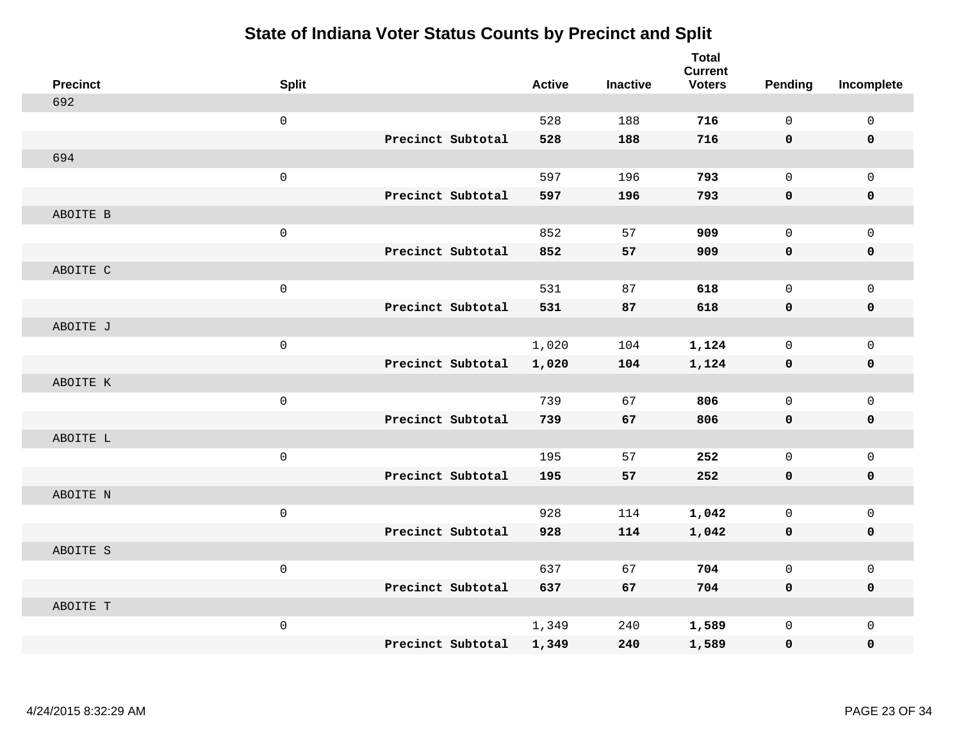| <b>Precinct</b> | <b>Split</b> |                   | <b>Active</b> | <b>Inactive</b> | <b>Total</b><br><b>Current</b><br><b>Voters</b> | Pending      | Incomplete          |
|-----------------|--------------|-------------------|---------------|-----------------|-------------------------------------------------|--------------|---------------------|
| 692             |              |                   |               |                 |                                                 |              |                     |
|                 | $\mathsf 0$  |                   | 528           | 188             | 716                                             | $\mathbf 0$  | $\mathbf 0$         |
|                 |              | Precinct Subtotal | 528           | 188             | 716                                             | $\mathbf 0$  | $\mathbf 0$         |
| 694             |              |                   |               |                 |                                                 |              |                     |
|                 | $\mathsf 0$  |                   | 597           | 196             | 793                                             | $\mathbf 0$  | $\mathbf{0}$        |
|                 |              | Precinct Subtotal | 597           | 196             | 793                                             | $\mathbf 0$  | $\pmb{0}$           |
| ABOITE B        |              |                   |               |                 |                                                 |              |                     |
|                 | $\mathsf 0$  |                   | 852           | 57              | 909                                             | $\mathbf 0$  | $\mathbf 0$         |
|                 |              | Precinct Subtotal | 852           | 57              | 909                                             | $\mathbf 0$  | $\mathbf 0$         |
| ABOITE C        |              |                   |               |                 |                                                 |              |                     |
|                 | $\mathsf 0$  |                   | 531           | 87              | 618                                             | $\mathbf 0$  | $\mathbf 0$         |
|                 |              | Precinct Subtotal | 531           | 87              | 618                                             | $\mathbf 0$  | $\mathbf 0$         |
| ABOITE J        |              |                   |               |                 |                                                 |              |                     |
|                 | $\mathsf 0$  |                   | 1,020         | 104             | 1,124                                           | $\mathbf 0$  | $\mathbf 0$         |
|                 |              | Precinct Subtotal | 1,020         | 104             | 1,124                                           | 0            | $\mathbf 0$         |
| ABOITE K        |              |                   |               |                 |                                                 |              |                     |
|                 | $\mathsf 0$  |                   | 739           | 67              | 806                                             | $\mathbf 0$  | $\mathsf{O}\xspace$ |
|                 |              | Precinct Subtotal | 739           | 67              | 806                                             | $\mathbf 0$  | $\mathbf 0$         |
| ABOITE L        |              |                   |               |                 |                                                 |              |                     |
|                 | $\mathsf 0$  |                   | 195           | 57              | 252                                             | $\mathbf 0$  | $\mathsf{O}\xspace$ |
|                 |              | Precinct Subtotal | 195           | 57              | 252                                             | 0            | $\mathbf 0$         |
| ABOITE N        |              |                   |               |                 |                                                 |              |                     |
|                 | $\mathsf 0$  |                   | 928           | 114             | 1,042                                           | $\mathbf 0$  | $\mathbf 0$         |
|                 |              | Precinct Subtotal | 928           | 114             | 1,042                                           | $\mathbf 0$  | $\pmb{0}$           |
| ABOITE S        |              |                   |               |                 |                                                 |              |                     |
|                 | $\mathsf 0$  |                   | 637           | 67              | 704                                             | $\mathsf{O}$ | $\mathbf 0$         |
|                 |              | Precinct Subtotal | 637           | 67              | 704                                             | $\mathbf 0$  | $\mathbf 0$         |
| ABOITE T        |              |                   |               |                 |                                                 |              |                     |
|                 | $\mathsf 0$  |                   | 1,349         | 240             | 1,589                                           | $\mathsf{O}$ | $\mathbf 0$         |
|                 |              | Precinct Subtotal | 1,349         | 240             | 1,589                                           | 0            | 0                   |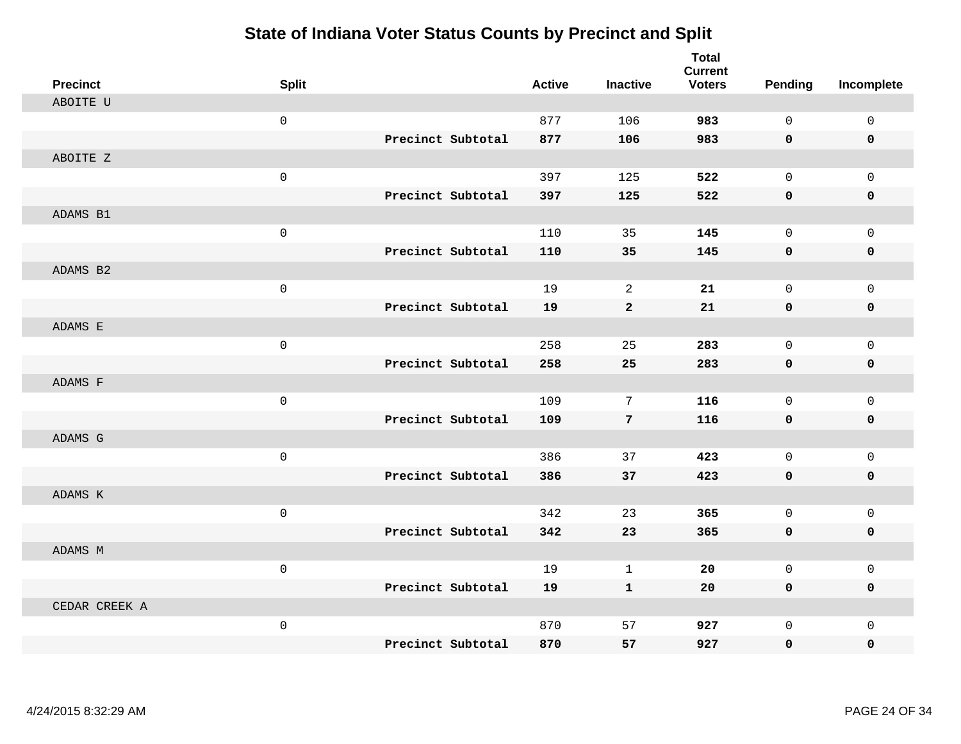| <b>Precinct</b> | <b>Split</b>        |                   | <b>Active</b> | <b>Inactive</b> | <b>Total</b><br><b>Current</b><br><b>Voters</b> | Pending      | Incomplete          |
|-----------------|---------------------|-------------------|---------------|-----------------|-------------------------------------------------|--------------|---------------------|
| ABOITE U        |                     |                   |               |                 |                                                 |              |                     |
|                 | $\mathsf 0$         |                   | 877           | 106             | 983                                             | $\mathbf 0$  | $\mathsf{O}\xspace$ |
|                 |                     | Precinct Subtotal | 877           | 106             | 983                                             | 0            | $\pmb{0}$           |
| ABOITE Z        |                     |                   |               |                 |                                                 |              |                     |
|                 | $\mathsf{O}\xspace$ |                   | 397           | 125             | 522                                             | $\mathbf 0$  | $\mathbf{0}$        |
|                 |                     | Precinct Subtotal | 397           | 125             | 522                                             | $\mathbf 0$  | 0                   |
| ADAMS B1        |                     |                   |               |                 |                                                 |              |                     |
|                 | $\mathsf{O}\xspace$ |                   | 110           | 35              | 145                                             | $\mathbf 0$  | $\mathsf{O}$        |
|                 |                     | Precinct Subtotal | 110           | 35              | 145                                             | 0            | 0                   |
| ADAMS B2        |                     |                   |               |                 |                                                 |              |                     |
|                 | $\mathbf 0$         |                   | 19            | 2               | 21                                              | $\mathbf 0$  | $\mathsf{O}$        |
|                 |                     | Precinct Subtotal | 19            | $\mathbf{2}$    | 21                                              | 0            | 0                   |
| ADAMS E         |                     |                   |               |                 |                                                 |              |                     |
|                 | $\mathbf 0$         |                   | 258           | 25              | 283                                             | $\Omega$     | $\mathbf 0$         |
|                 |                     | Precinct Subtotal | 258           | 25              | 283                                             | 0            | $\mathbf 0$         |
| ADAMS F         |                     |                   |               |                 |                                                 |              |                     |
|                 | $\mathsf 0$         |                   | 109           | 7               | 116                                             | $\mathbf 0$  | $\mathsf{O}$        |
|                 |                     | Precinct Subtotal | 109           | $\overline{7}$  | 116                                             | $\mathbf 0$  | 0                   |
| ADAMS G         |                     |                   |               |                 |                                                 |              |                     |
|                 | $\mathsf{O}\xspace$ |                   | 386           | 37              | 423                                             | $\mathbf 0$  | $\mathbf 0$         |
|                 |                     | Precinct Subtotal | 386           | 37              | 423                                             | 0            | 0                   |
| ADAMS K         |                     |                   |               |                 |                                                 |              |                     |
|                 | $\mathbf 0$         |                   | 342           | 23              | 365                                             | $\mathbf 0$  | $\mathsf{O}$        |
|                 |                     | Precinct Subtotal | 342           | 23              | 365                                             | $\mathbf 0$  | 0                   |
| ADAMS M         |                     |                   |               |                 |                                                 |              |                     |
|                 | $\mathsf 0$         |                   | 19            | $\mathbf 1$     | 20                                              | $\mathbf 0$  | $\mathsf{O}$        |
|                 |                     | Precinct Subtotal | 19            | $\mathbf{1}$    | 20                                              | 0            | 0                   |
| CEDAR CREEK A   |                     |                   |               |                 |                                                 |              |                     |
|                 | $\mathsf{O}\xspace$ |                   | 870           | 57              | 927                                             | $\mathbf 0$  | $\mathsf{O}$        |
|                 |                     | Precinct Subtotal | 870           | 57              | 927                                             | $\mathbf{0}$ | 0                   |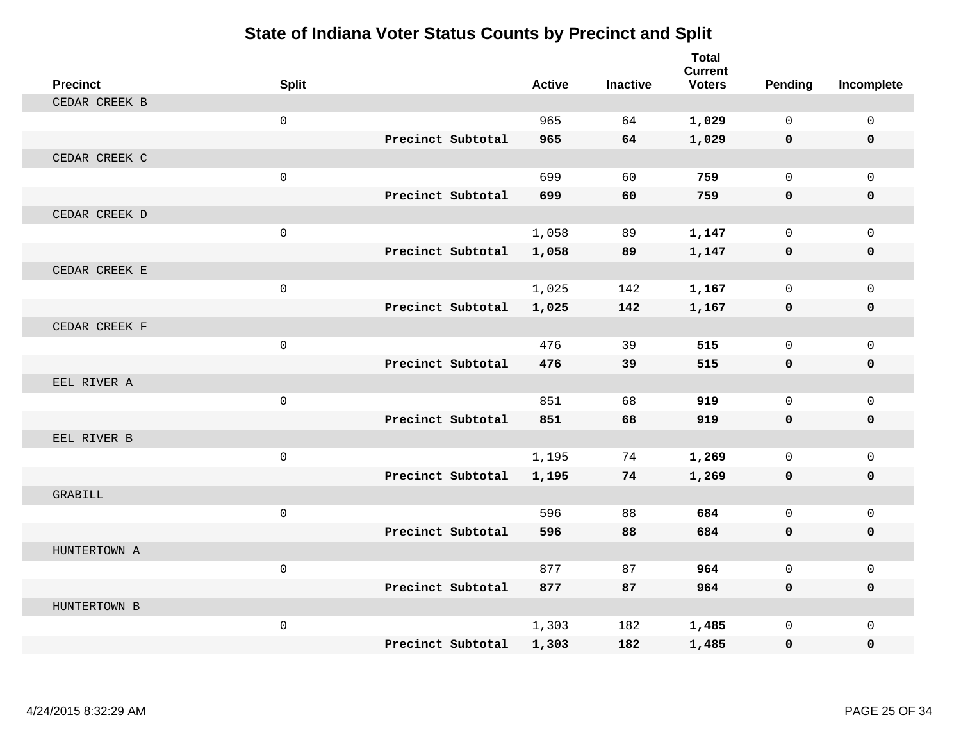| <b>Precinct</b> | <b>Split</b> |                   | <b>Active</b> | <b>Inactive</b> | <b>Total</b><br><b>Current</b><br><b>Voters</b> | Pending      | Incomplete   |
|-----------------|--------------|-------------------|---------------|-----------------|-------------------------------------------------|--------------|--------------|
| CEDAR CREEK B   |              |                   |               |                 |                                                 |              |              |
|                 | $\mathsf 0$  |                   | 965           | 64              | 1,029                                           | $\Omega$     | $\mathbf 0$  |
|                 |              | Precinct Subtotal | 965           | 64              | 1,029                                           | $\mathbf 0$  | $\mathbf 0$  |
| CEDAR CREEK C   |              |                   |               |                 |                                                 |              |              |
|                 | $\mathsf 0$  |                   | 699           | 60              | 759                                             | $\Omega$     | $\Omega$     |
|                 |              | Precinct Subtotal | 699           | 60              | 759                                             | $\mathbf 0$  | 0            |
| CEDAR CREEK D   |              |                   |               |                 |                                                 |              |              |
|                 | $\mathbf 0$  |                   | 1,058         | 89              | 1,147                                           | $\mathbf 0$  | $\mathbf 0$  |
|                 |              | Precinct Subtotal | 1,058         | 89              | 1,147                                           | $\mathbf 0$  | 0            |
| CEDAR CREEK E   |              |                   |               |                 |                                                 |              |              |
|                 | $\mathsf 0$  |                   | 1,025         | 142             | 1,167                                           | $\mathbf 0$  | $\mathbf{0}$ |
|                 |              | Precinct Subtotal | 1,025         | 142             | 1,167                                           | 0            | 0            |
| CEDAR CREEK F   |              |                   |               |                 |                                                 |              |              |
|                 | $\mathsf 0$  |                   | 476           | 39              | 515                                             | $\mathbf 0$  | $\mathbf 0$  |
|                 |              | Precinct Subtotal | 476           | 39              | 515                                             | $\mathbf 0$  | 0            |
| EEL RIVER A     |              |                   |               |                 |                                                 |              |              |
|                 | $\mathsf 0$  |                   | 851           | 68              | 919                                             | $\mathbf 0$  | $\mathbf 0$  |
|                 |              | Precinct Subtotal | 851           | 68              | 919                                             | $\mathbf 0$  | 0            |
| EEL RIVER B     |              |                   |               |                 |                                                 |              |              |
|                 | $\mathbf 0$  |                   | 1,195         | 74              | 1,269                                           | $\Omega$     | $\mathbf 0$  |
|                 |              | Precinct Subtotal | 1,195         | 74              | 1,269                                           | $\mathbf 0$  | 0            |
| GRABILL         |              |                   |               |                 |                                                 |              |              |
|                 | $\mathsf{O}$ |                   | 596           | 88              | 684                                             | $\Omega$     | $\mathbf 0$  |
|                 |              | Precinct Subtotal | 596           | 88              | 684                                             | $\mathbf 0$  | 0            |
| HUNTERTOWN A    |              |                   |               |                 |                                                 |              |              |
|                 | $\mathbf 0$  |                   | 877           | 87              | 964                                             | $\mathbf 0$  | $\mathsf 0$  |
|                 |              | Precinct Subtotal | 877           | 87              | 964                                             | $\mathbf{0}$ | 0            |
| HUNTERTOWN B    |              |                   |               |                 |                                                 |              |              |
|                 | $\mathsf{O}$ |                   | 1,303         | 182             | 1,485                                           | $\mathbf 0$  | $\mathbf{0}$ |
|                 |              | Precinct Subtotal | 1,303         | 182             | 1,485                                           | 0            | 0            |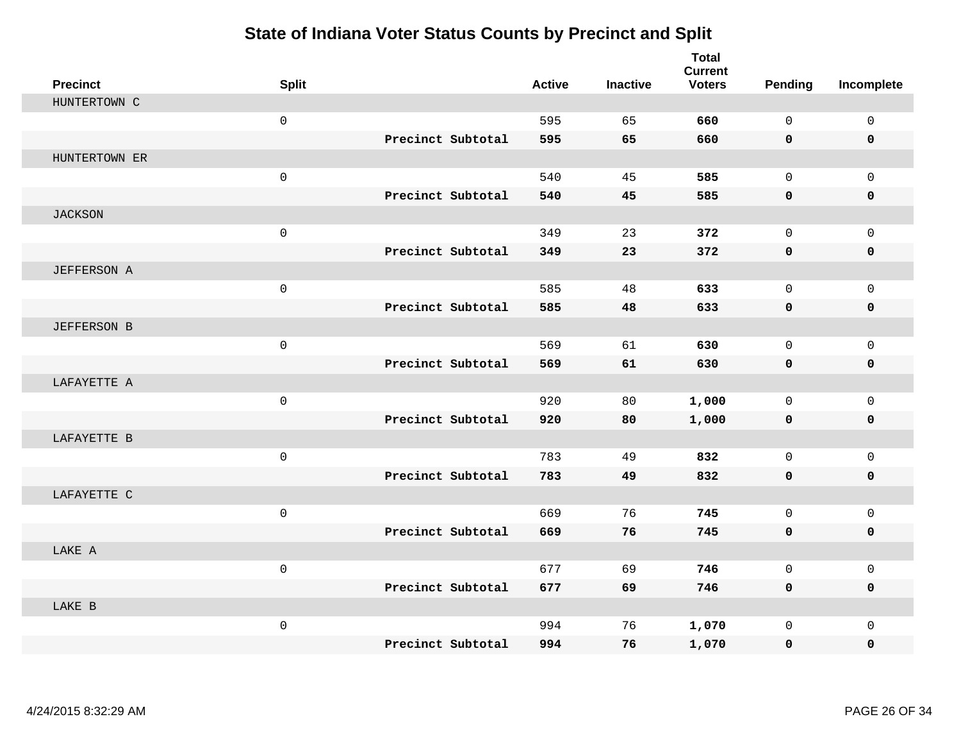| <b>Precinct</b>    | <b>Split</b>        |                   | <b>Active</b> | <b>Inactive</b> | <b>Total</b><br><b>Current</b><br><b>Voters</b> | <b>Pending</b> | Incomplete   |
|--------------------|---------------------|-------------------|---------------|-----------------|-------------------------------------------------|----------------|--------------|
| HUNTERTOWN C       |                     |                   |               |                 |                                                 |                |              |
|                    | $\mathsf{O}\xspace$ |                   | 595           | 65              | 660                                             | $\mathsf{O}$   | $\mathsf{O}$ |
|                    |                     | Precinct Subtotal | 595           | 65              | 660                                             | 0              | 0            |
| HUNTERTOWN ER      |                     |                   |               |                 |                                                 |                |              |
|                    | $\mathsf{O}\xspace$ |                   | 540           | 45              | 585                                             | $\mathbf 0$    | $\Omega$     |
|                    |                     | Precinct Subtotal | 540           | 45              | 585                                             | $\mathbf 0$    | 0            |
| <b>JACKSON</b>     |                     |                   |               |                 |                                                 |                |              |
|                    | $\mathsf{O}\xspace$ |                   | 349           | 23              | 372                                             | $\mathbf 0$    | $\mathbf 0$  |
|                    |                     | Precinct Subtotal | 349           | 23              | 372                                             | $\mathbf 0$    | $\mathbf 0$  |
| <b>JEFFERSON A</b> |                     |                   |               |                 |                                                 |                |              |
|                    | $\mathsf{O}\xspace$ |                   | 585           | 48              | 633                                             | $\mathbf 0$    | $\mathbf{0}$ |
|                    |                     | Precinct Subtotal | 585           | 48              | 633                                             | $\mathbf 0$    | 0            |
| <b>JEFFERSON B</b> |                     |                   |               |                 |                                                 |                |              |
|                    | $\mathbf 0$         |                   | 569           | 61              | 630                                             | $\Omega$       | $\mathbf 0$  |
|                    |                     | Precinct Subtotal | 569           | 61              | 630                                             | $\mathbf 0$    | $\mathbf 0$  |
| LAFAYETTE A        |                     |                   |               |                 |                                                 |                |              |
|                    | $\mathsf{O}\xspace$ |                   | 920           | 80              | 1,000                                           | $\mathbf 0$    | $\mathbf{0}$ |
|                    |                     | Precinct Subtotal | 920           | 80              | 1,000                                           | 0              | 0            |
| LAFAYETTE B        |                     |                   |               |                 |                                                 |                |              |
|                    | $\mathbf 0$         |                   | 783           | 49              | 832                                             | $\mathbf 0$    | $\mathbf 0$  |
|                    |                     | Precinct Subtotal | 783           | 49              | 832                                             | $\mathbf 0$    | 0            |
| LAFAYETTE C        |                     |                   |               |                 |                                                 |                |              |
|                    | $\mathsf{O}\xspace$ |                   | 669           | 76              | 745                                             | $\mathbf 0$    | $\mathbf 0$  |
|                    |                     | Precinct Subtotal | 669           | 76              | 745                                             | 0              | 0            |
| LAKE A             |                     |                   |               |                 |                                                 |                |              |
|                    | $\mathsf{O}\xspace$ |                   | 677           | 69              | 746                                             | $\mathbf 0$    | $\mathbf 0$  |
|                    |                     | Precinct Subtotal | 677           | 69              | 746                                             | $\mathbf 0$    | 0            |
| LAKE B             |                     |                   |               |                 |                                                 |                |              |
|                    | $\mathbf 0$         |                   | 994           | 76              | 1,070                                           | $\mathbf 0$    | $\mathbf 0$  |
|                    |                     | Precinct Subtotal | 994           | 76              | 1,070                                           | $\mathbf 0$    | $\mathbf 0$  |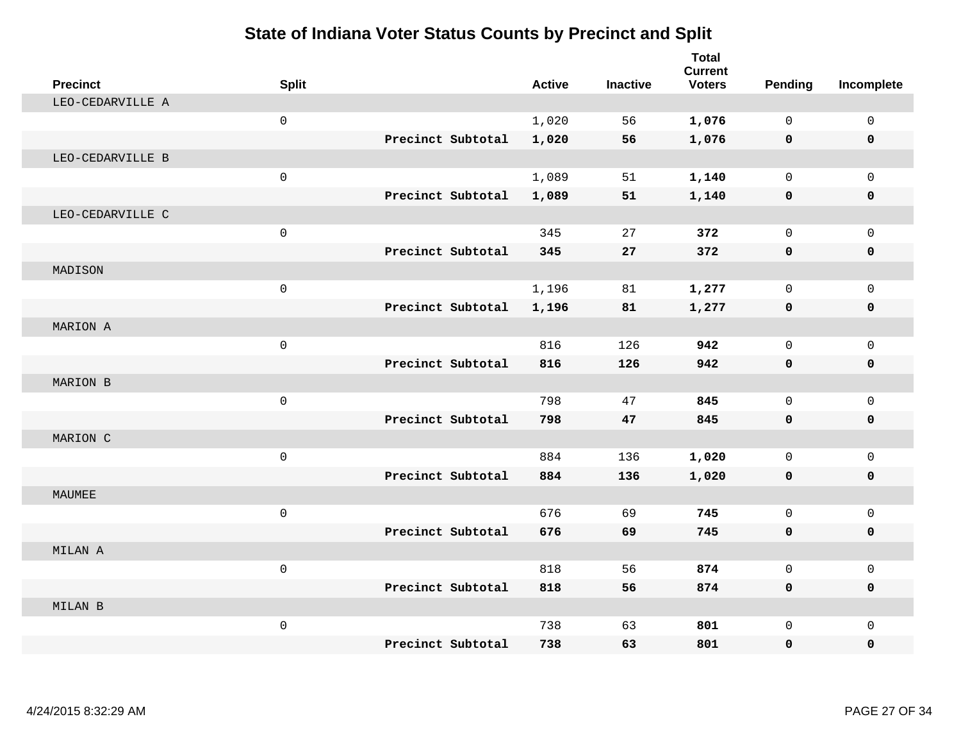| <b>Precinct</b>  | <b>Split</b>        |                   | <b>Active</b> | <b>Inactive</b> | <b>Total</b><br><b>Current</b><br><b>Voters</b> | Pending     | Incomplete   |
|------------------|---------------------|-------------------|---------------|-----------------|-------------------------------------------------|-------------|--------------|
| LEO-CEDARVILLE A |                     |                   |               |                 |                                                 |             |              |
|                  | $\mathsf{O}$        |                   | 1,020         | 56              | 1,076                                           | $\mathbf 0$ | $\mathbf 0$  |
|                  |                     | Precinct Subtotal | 1,020         | 56              | 1,076                                           | $\mathbf 0$ | $\mathbf 0$  |
| LEO-CEDARVILLE B |                     |                   |               |                 |                                                 |             |              |
|                  | $\mathsf{O}$        |                   | 1,089         | 51              | 1,140                                           | 0           | $\mathbf 0$  |
|                  |                     | Precinct Subtotal | 1,089         | 51              | 1,140                                           | 0           | $\mathbf 0$  |
| LEO-CEDARVILLE C |                     |                   |               |                 |                                                 |             |              |
|                  | $\mathsf{O}$        |                   | 345           | 27              | 372                                             | 0           | $\mathbf{0}$ |
|                  |                     | Precinct Subtotal | 345           | 27              | 372                                             | 0           | $\mathbf 0$  |
| MADISON          |                     |                   |               |                 |                                                 |             |              |
|                  | $\mathsf{O}\xspace$ |                   | 1,196         | 81              | 1,277                                           | 0           | $\Omega$     |
|                  |                     | Precinct Subtotal | 1,196         | 81              | 1,277                                           | $\mathbf 0$ | $\mathbf 0$  |
| MARION A         |                     |                   |               |                 |                                                 |             |              |
|                  | $\mathbf 0$         |                   | 816           | 126             | 942                                             | $\Omega$    | $\Omega$     |
|                  |                     | Precinct Subtotal | 816           | 126             | 942                                             | 0           | 0            |
| MARION B         |                     |                   |               |                 |                                                 |             |              |
|                  | $\mathsf{O}$        |                   | 798           | 47              | 845                                             | 0           | $\mathbf 0$  |
|                  |                     | Precinct Subtotal | 798           | 47              | 845                                             | $\mathbf 0$ | $\mathbf 0$  |
| MARION C         |                     |                   |               |                 |                                                 |             |              |
|                  | $\mathsf{O}$        |                   | 884           | 136             | 1,020                                           | 0           | $\mathbf{0}$ |
|                  |                     | Precinct Subtotal | 884           | 136             | 1,020                                           | 0           | $\mathbf 0$  |
| MAUMEE           |                     |                   |               |                 |                                                 |             |              |
|                  | $\mathsf{O}$        |                   | 676           | 69              | 745                                             | 0           | $\mathbf 0$  |
|                  |                     | Precinct Subtotal | 676           | 69              | 745                                             | $\mathbf 0$ | $\mathbf 0$  |
| MILAN A          |                     |                   |               |                 |                                                 |             |              |
|                  | $\mathbf 0$         |                   | 818           | 56              | 874                                             | 0           | $\mathsf{O}$ |
|                  |                     | Precinct Subtotal | 818           | 56              | 874                                             | 0           | 0            |
| MILAN B          |                     |                   |               |                 |                                                 |             |              |
|                  | $\mathsf{O}$        |                   | 738           | 63              | 801                                             | 0           | $\mathbf 0$  |
|                  |                     | Precinct Subtotal | 738           | 63              | 801                                             | 0           | 0            |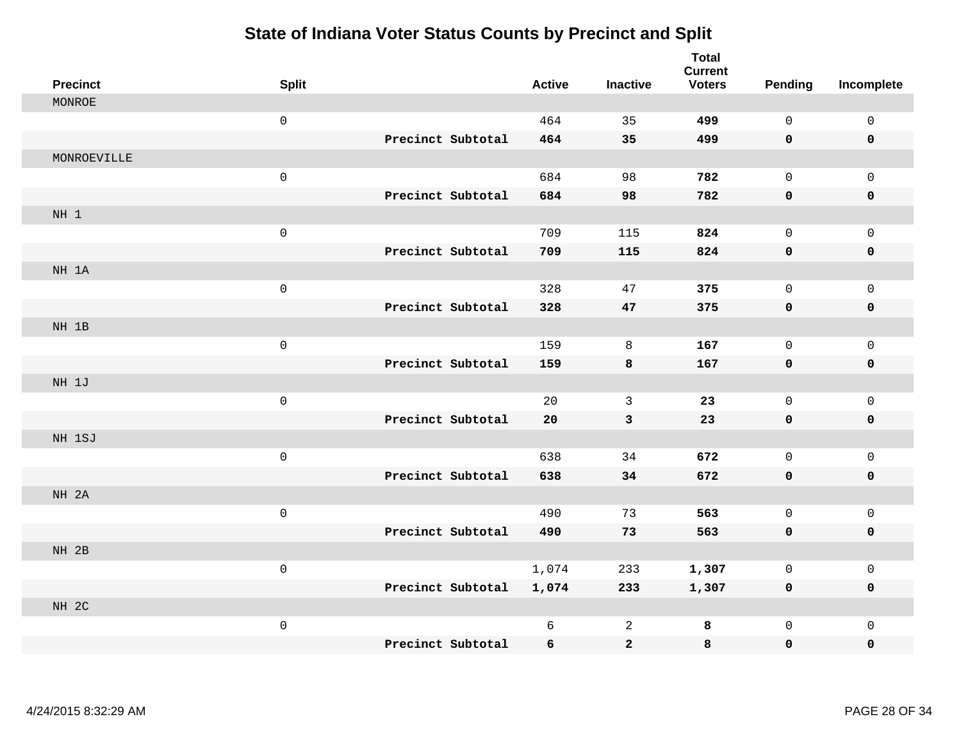| <b>Precinct</b> | <b>Split</b>        |                   | <b>Active</b> | <b>Inactive</b> | <b>Total</b><br><b>Current</b><br><b>Voters</b> | <b>Pending</b> | Incomplete          |
|-----------------|---------------------|-------------------|---------------|-----------------|-------------------------------------------------|----------------|---------------------|
| MONROE          |                     |                   |               |                 |                                                 |                |                     |
|                 | $\mathsf 0$         |                   | 464           | 35              | 499                                             | 0              | $\mathsf{O}\xspace$ |
|                 |                     | Precinct Subtotal | 464           | 35              | 499                                             | 0              | 0                   |
| MONROEVILLE     |                     |                   |               |                 |                                                 |                |                     |
|                 | $\mathsf{O}\xspace$ |                   | 684           | 98              | 782                                             | $\mathsf{O}$   | $\mathsf{O}$        |
|                 |                     | Precinct Subtotal | 684           | 98              | 782                                             | 0              | 0                   |
| NH 1            |                     |                   |               |                 |                                                 |                |                     |
|                 | $\mathsf{O}\xspace$ |                   | 709           | 115             | 824                                             | 0              | $\mathsf{O}$        |
|                 |                     | Precinct Subtotal | 709           | 115             | 824                                             | 0              | 0                   |
| NH 1A           |                     |                   |               |                 |                                                 |                |                     |
|                 | $\mathsf 0$         |                   | 328           | 47              | 375                                             | 0              | $\mathsf{O}$        |
|                 |                     | Precinct Subtotal | 328           | 47              | 375                                             | 0              | 0                   |
| NH 1B           |                     |                   |               |                 |                                                 |                |                     |
|                 | $\mathsf{O}$        |                   | 159           | $\,8\,$         | 167                                             | 0              | $\mathsf{O}$        |
|                 |                     | Precinct Subtotal | 159           | 8               | 167                                             | 0              | 0                   |
| NH 1J           |                     |                   |               |                 |                                                 |                |                     |
|                 | $\mathsf{O}\xspace$ |                   | 20            | $\mathbf{3}$    | 23                                              | $\mathbf 0$    | $\mathsf{O}$        |
|                 |                     | Precinct Subtotal | 20            | $\mathbf{3}$    | 23                                              | 0              | 0                   |
| NH 1SJ          |                     |                   |               |                 |                                                 |                |                     |
|                 | $\mathsf{O}$        |                   | 638           | 34              | 672                                             | 0              | $\mathsf 0$         |
|                 |                     | Precinct Subtotal | 638           | 34              | 672                                             | 0              | $\pmb{0}$           |
| NH 2A           |                     |                   |               |                 |                                                 |                |                     |
|                 | $\mathsf{O}\xspace$ |                   | 490           | 73              | 563                                             | 0              | $\mathsf{O}$        |
|                 |                     | Precinct Subtotal | 490           | 73              | 563                                             | 0              | 0                   |
| NH 2B           |                     |                   |               |                 |                                                 |                |                     |
|                 | $\mathsf{O}$        |                   | 1,074         | 233             | 1,307                                           | 0              | $\mathsf{O}\xspace$ |
|                 |                     | Precinct Subtotal | 1,074         | 233             | 1,307                                           | 0              | 0                   |
| NH 2C           |                     |                   |               |                 |                                                 |                |                     |
|                 | $\mathsf{O}\xspace$ |                   | 6             | $\overline{a}$  | 8                                               | 0              | $\mathsf{O}$        |
|                 |                     | Precinct Subtotal | 6             | $\mathbf{2}$    | 8                                               | 0              | 0                   |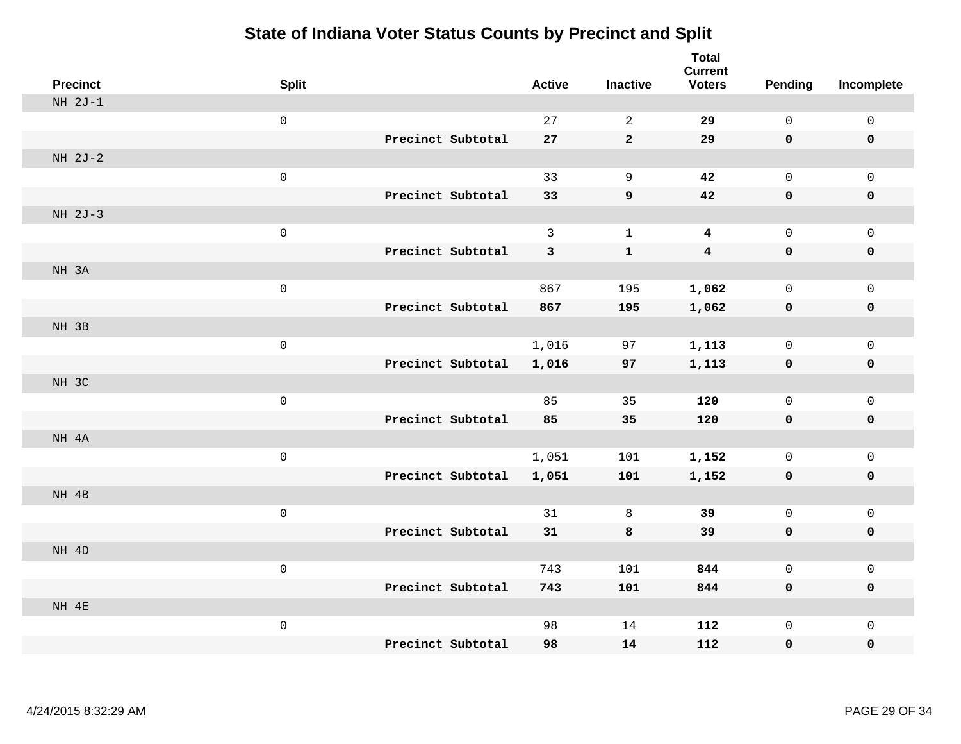| <b>Precinct</b> | <b>Split</b>        |                   | <b>Active</b> | <b>Inactive</b>  | <b>Total</b><br><b>Current</b><br><b>Voters</b> | <b>Pending</b> | Incomplete          |
|-----------------|---------------------|-------------------|---------------|------------------|-------------------------------------------------|----------------|---------------------|
| $NH 2J-1$       |                     |                   |               |                  |                                                 |                |                     |
|                 | $\mathsf 0$         |                   | 27            | $\sqrt{2}$       | 29                                              | $\mathsf{O}$   | $\mathsf 0$         |
|                 |                     | Precinct Subtotal | 27            | $\mathbf{2}$     | 29                                              | $\mathbf 0$    | 0                   |
| NH 2J-2         |                     |                   |               |                  |                                                 |                |                     |
|                 | $\mathsf 0$         |                   | 33            | $\mathsf 9$      | 42                                              | $\mathsf{O}$   | $\mathbf 0$         |
|                 |                     | Precinct Subtotal | 33            | $\boldsymbol{9}$ | 42                                              | 0              | 0                   |
| NH 2J-3         |                     |                   |               |                  |                                                 |                |                     |
|                 | $\mathsf 0$         |                   | $\mathbf{3}$  | $1\,$            | $\overline{\mathbf{4}}$                         | $\mathsf 0$    | $\mathbf 0$         |
|                 |                     | Precinct Subtotal | 3             | ${\bf 1}$        | $\overline{\mathbf{4}}$                         | $\mathbf 0$    | $\pmb{0}$           |
| NH 3A           |                     |                   |               |                  |                                                 |                |                     |
|                 | $\mathsf 0$         |                   | 867           | 195              | 1,062                                           | $\mathsf{O}$   | $\mathbf 0$         |
|                 |                     | Precinct Subtotal | 867           | 195              | 1,062                                           | $\mathbf 0$    | $\pmb{0}$           |
| NH 3B           |                     |                   |               |                  |                                                 |                |                     |
|                 | $\mathsf{O}\xspace$ |                   | 1,016         | 97               | 1,113                                           | $\mathsf{O}$   | $\mathsf{O}\xspace$ |
|                 |                     | Precinct Subtotal | 1,016         | 97               | 1,113                                           | $\mathbf 0$    | $\pmb{0}$           |
| NH 3C           |                     |                   |               |                  |                                                 |                |                     |
|                 | $\mathsf{O}\xspace$ |                   | 85            | 35               | 120                                             | $\mathbf 0$    | $\mathbf 0$         |
|                 |                     | Precinct Subtotal | 85            | 35               | 120                                             | $\mathbf 0$    | $\pmb{0}$           |
| NH 4A           |                     |                   |               |                  |                                                 |                |                     |
|                 | $\mathsf 0$         |                   | 1,051         | 101              | 1,152                                           | $\mathsf{O}$   | $\mathbf 0$         |
|                 |                     | Precinct Subtotal | 1,051         | 101              | 1,152                                           | 0              | $\mathbf 0$         |
| NH 4B           |                     |                   |               |                  |                                                 |                |                     |
|                 | $\mathsf 0$         |                   | 31            | 8                | 39                                              | $\mathbf 0$    | $\mathsf 0$         |
|                 |                     | Precinct Subtotal | 31            | 8                | 39                                              | $\mathbf 0$    | $\pmb{0}$           |
| NH 4D           |                     |                   |               |                  |                                                 |                |                     |
|                 | $\mathsf 0$         |                   | 743           | 101              | 844                                             | $\mathbf 0$    | $\mathsf 0$         |
|                 |                     | Precinct Subtotal | 743           | 101              | 844                                             | 0              | $\mathbf 0$         |
| NH 4E           |                     |                   |               |                  |                                                 |                |                     |
|                 | $\mathsf 0$         |                   | 98            | 14               | 112                                             | $\mathsf{O}$   | $\mathbf 0$         |
|                 |                     | Precinct Subtotal | 98            | 14               | 112                                             | 0              | 0                   |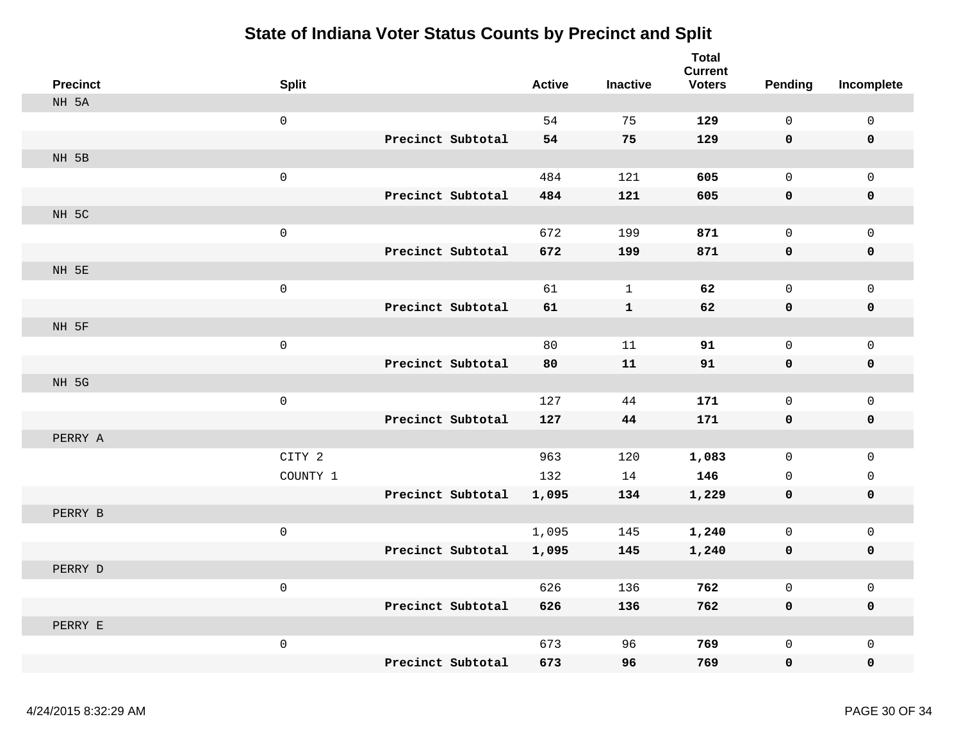| <b>Precinct</b> | <b>Split</b>        |                   | <b>Active</b> | <b>Inactive</b> | <b>Total</b><br><b>Current</b><br><b>Voters</b> | <b>Pending</b>      | Incomplete          |
|-----------------|---------------------|-------------------|---------------|-----------------|-------------------------------------------------|---------------------|---------------------|
| NH 5A           |                     |                   |               |                 |                                                 |                     |                     |
|                 | $\mathsf{O}$        |                   | 54            | 75              | 129                                             | $\mathsf 0$         | 0                   |
|                 |                     | Precinct Subtotal | 54            | 75              | 129                                             | 0                   | $\mathbf 0$         |
| NH 5B           |                     |                   |               |                 |                                                 |                     |                     |
|                 | $\mathbf 0$         |                   | 484           | 121             | 605                                             | $\mathbf 0$         | $\mathbf{0}$        |
|                 |                     | Precinct Subtotal | 484           | 121             | 605                                             | 0                   | 0                   |
| NH 5C           |                     |                   |               |                 |                                                 |                     |                     |
|                 | $\mathsf 0$         |                   | 672           | 199             | 871                                             | $\mathbf 0$         | $\mathsf{O}$        |
|                 |                     | Precinct Subtotal | 672           | 199             | 871                                             | 0                   | $\pmb{0}$           |
| NH 5E           |                     |                   |               |                 |                                                 |                     |                     |
|                 | $\mathbf 0$         |                   | 61            | $\mathbf{1}$    | 62                                              | $\mathsf{O}\xspace$ | $\mathbf 0$         |
|                 |                     | Precinct Subtotal | 61            | $\mathbf{1}$    | 62                                              | 0                   | $\pmb{0}$           |
| NH 5F           |                     |                   |               |                 |                                                 |                     |                     |
|                 | $\mathsf{O}\xspace$ |                   | 80            | 11              | 91                                              | $\mathbf 0$         | $\mathsf{O}$        |
|                 |                     | Precinct Subtotal | 80            | 11              | 91                                              | 0                   | $\pmb{0}$           |
| NH 5G           |                     |                   |               |                 |                                                 |                     |                     |
|                 | $\mathsf{O}\xspace$ |                   | 127           | 44              | 171                                             | $\mathbf 0$         | $\mathsf{O}$        |
|                 |                     | Precinct Subtotal | 127           | 44              | 171                                             | 0                   | 0                   |
| PERRY A         |                     |                   |               |                 |                                                 |                     |                     |
|                 | CITY 2              |                   | 963           | 120             | 1,083                                           | $\mathsf{O}$        | $\mathsf{O}$        |
|                 | COUNTY 1            |                   | 132           | 14              | 146                                             | $\mathbf 0$         | 0                   |
|                 |                     | Precinct Subtotal | 1,095         | 134             | 1,229                                           | 0                   | 0                   |
| PERRY B         |                     |                   |               |                 |                                                 |                     |                     |
|                 | $\mathsf 0$         |                   | 1,095         | 145             | 1,240                                           | $\mathbf 0$         | $\mathsf{O}\xspace$ |
|                 |                     | Precinct Subtotal | 1,095         | 145             | 1,240                                           | 0                   | 0                   |
| PERRY D         |                     |                   |               |                 |                                                 |                     |                     |
|                 | $\mathsf 0$         |                   | 626           | 136             | 762                                             | $\mathbf 0$         | $\mathsf{O}$        |
|                 |                     | Precinct Subtotal | 626           | 136             | 762                                             | $\mathbf 0$         | 0                   |
| PERRY E         |                     |                   |               |                 |                                                 |                     |                     |
|                 | $\mathsf 0$         |                   | 673           | 96              | 769                                             | $\mathsf 0$         | $\mathsf{O}$        |
|                 |                     | Precinct Subtotal | 673           | 96              | 769                                             | $\mathbf 0$         | $\mathbf 0$         |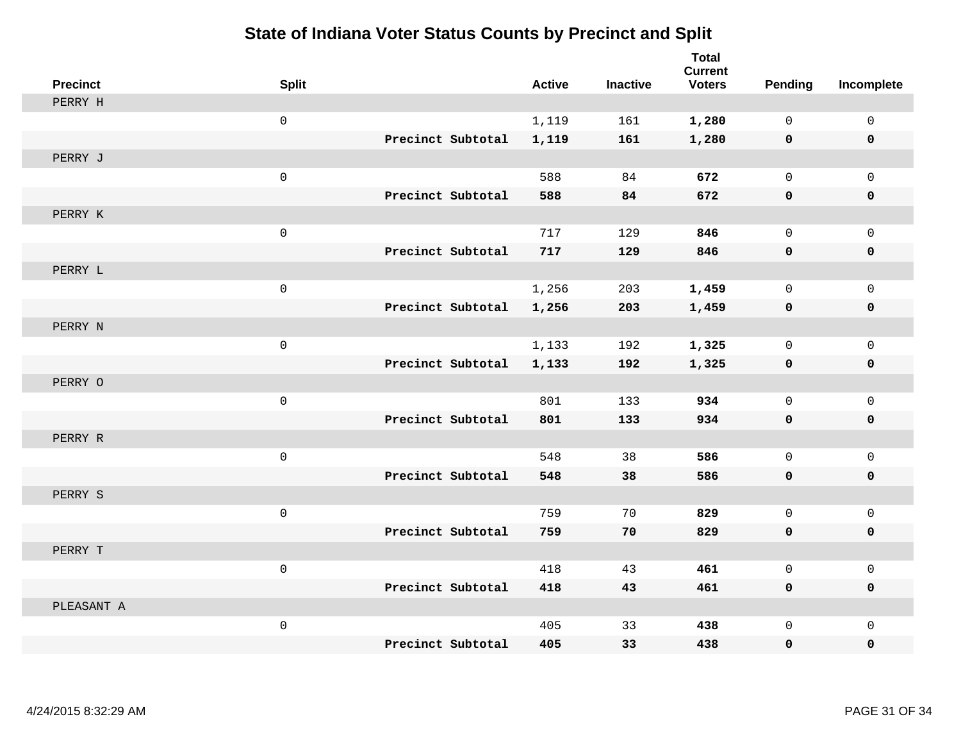| <b>Precinct</b> | <b>Split</b>        | <b>Active</b>              | <b>Inactive</b> | <b>Total</b><br><b>Current</b><br><b>Voters</b> | <b>Pending</b> | Incomplete   |
|-----------------|---------------------|----------------------------|-----------------|-------------------------------------------------|----------------|--------------|
| PERRY H         |                     |                            |                 |                                                 |                |              |
|                 | $\mathsf{O}\xspace$ | 1,119                      | 161             | 1,280                                           | 0              | $\mathbf 0$  |
|                 |                     | Precinct Subtotal<br>1,119 | 161             | 1,280                                           | $\mathbf 0$    | $\mathbf 0$  |
| PERRY J         |                     |                            |                 |                                                 |                |              |
|                 | $\mathsf{O}\xspace$ | 588                        | 84              | 672                                             | $\mathbf 0$    | $\mathbf 0$  |
|                 |                     | Precinct Subtotal<br>588   | 84              | 672                                             | 0              | $\mathbf 0$  |
| PERRY K         |                     |                            |                 |                                                 |                |              |
|                 | $\mathsf{O}\xspace$ | 717                        | 129             | 846                                             | 0              | $\mathbf 0$  |
|                 |                     | Precinct Subtotal<br>717   | 129             | 846                                             | $\mathbf 0$    | $\mathbf 0$  |
| PERRY L         |                     |                            |                 |                                                 |                |              |
|                 | $\mathsf{O}\xspace$ | 1,256                      | 203             | 1,459                                           | 0              | $\mathbf 0$  |
|                 |                     | Precinct Subtotal<br>1,256 | 203             | 1,459                                           | 0              | 0            |
| PERRY N         |                     |                            |                 |                                                 |                |              |
|                 | $\mathsf{O}\xspace$ | 1,133                      | 192             | 1,325                                           | 0              | $\mathbf{0}$ |
|                 |                     | Precinct Subtotal<br>1,133 | 192             | 1,325                                           | 0              | $\mathbf 0$  |
| PERRY O         |                     |                            |                 |                                                 |                |              |
|                 | $\mathsf{O}\xspace$ | 801                        | 133             | 934                                             | 0              | $\mathbf 0$  |
|                 |                     | Precinct Subtotal<br>801   | 133             | 934                                             | $\mathbf 0$    | $\mathbf 0$  |
| PERRY R         |                     |                            |                 |                                                 |                |              |
|                 | $\mathsf{O}\xspace$ | 548                        | 38              | 586                                             | 0              | $\mathbf 0$  |
|                 |                     | Precinct Subtotal<br>548   | 38              | 586                                             | 0              | 0            |
| PERRY S         |                     |                            |                 |                                                 |                |              |
|                 | $\mathsf{O}\xspace$ | 759                        | 70              | 829                                             | 0              | $\mathbf 0$  |
|                 |                     | Precinct Subtotal<br>759   | 70              | 829                                             | 0              | $\mathbf 0$  |
| PERRY T         |                     |                            |                 |                                                 |                |              |
|                 | $\mathbf 0$         | 418                        | 43              | 461                                             | 0              | $\mathbf 0$  |
|                 |                     | Precinct Subtotal<br>418   | 43              | 461                                             | 0              | $\mathbf 0$  |
| PLEASANT A      |                     |                            |                 |                                                 |                |              |
|                 | $\mathsf{O}\xspace$ | 405<br>Precinct Subtotal   | 33              | 438                                             | 0              | $\mathbf 0$  |
|                 |                     | 405                        | 33              | 438                                             | 0              | $\mathbf 0$  |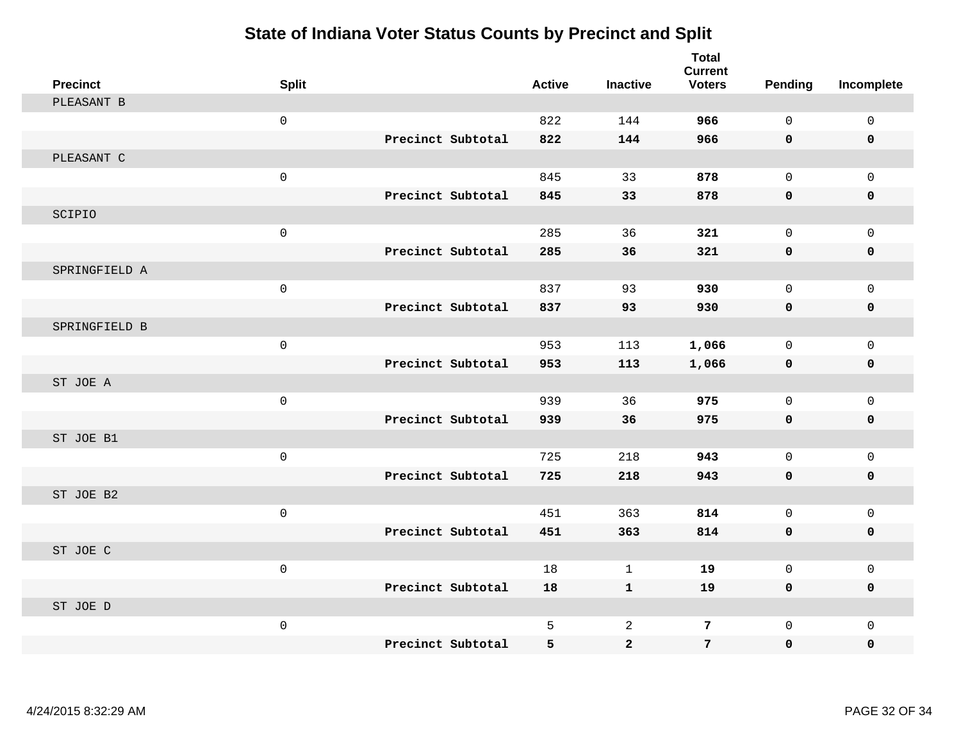| <b>Precinct</b> | <b>Split</b>        |                   | <b>Active</b> | <b>Inactive</b> | <b>Total</b><br><b>Current</b><br><b>Voters</b> | <b>Pending</b> | Incomplete   |
|-----------------|---------------------|-------------------|---------------|-----------------|-------------------------------------------------|----------------|--------------|
| PLEASANT B      |                     |                   |               |                 |                                                 |                |              |
|                 | $\mathsf{O}\xspace$ |                   | 822           | 144             | 966                                             | $\mathsf{O}$   | $\mathsf 0$  |
|                 |                     | Precinct Subtotal | 822           | 144             | 966                                             | 0              | 0            |
| PLEASANT C      |                     |                   |               |                 |                                                 |                |              |
|                 | $\mathsf{O}\xspace$ |                   | 845           | 33              | 878                                             | $\mathsf{O}$   | $\mathbf 0$  |
|                 |                     | Precinct Subtotal | 845           | 33              | 878                                             | $\mathbf 0$    | $\mathbf 0$  |
| SCIPIO          |                     |                   |               |                 |                                                 |                |              |
|                 | $\mathsf 0$         |                   | 285           | 36              | 321                                             | $\mathsf{O}$   | $\mathbf 0$  |
|                 |                     | Precinct Subtotal | 285           | 36              | 321                                             | 0              | 0            |
| SPRINGFIELD A   |                     |                   |               |                 |                                                 |                |              |
|                 | $\mathsf{O}\xspace$ |                   | 837           | 93              | 930                                             | $\mathbf 0$    | $\mathbf 0$  |
|                 |                     | Precinct Subtotal | 837           | 93              | 930                                             | 0              | 0            |
| SPRINGFIELD B   |                     |                   |               |                 |                                                 |                |              |
|                 | $\mathsf{O}\xspace$ |                   | 953           | 113             | 1,066                                           | $\mathsf{O}$   | $\Omega$     |
|                 |                     | Precinct Subtotal | 953           | 113             | 1,066                                           | 0              | $\mathbf 0$  |
| ST JOE A        |                     |                   |               |                 |                                                 |                |              |
|                 | $\mathsf{O}\xspace$ |                   | 939           | 36              | 975                                             | $\mathbf 0$    | $\mathbf 0$  |
|                 |                     | Precinct Subtotal | 939           | 36              | 975                                             | 0              | $\pmb{0}$    |
| ST JOE B1       |                     |                   |               |                 |                                                 |                |              |
|                 | $\mathsf{O}\xspace$ |                   | 725           | 218             | 943                                             | $\Omega$       | $\mathbf{0}$ |
|                 |                     | Precinct Subtotal | 725           | 218             | 943                                             | $\mathbf 0$    | $\mathbf 0$  |
| ST JOE B2       |                     |                   |               |                 |                                                 |                |              |
|                 | $\mathsf{O}\xspace$ |                   | 451           | 363             | 814                                             | $\mathbf 0$    | $\mathbf{0}$ |
|                 |                     | Precinct Subtotal | 451           | 363             | 814                                             | 0              | $\pmb{0}$    |
| ST JOE C        |                     |                   |               |                 |                                                 |                |              |
|                 | $\mathsf{O}\xspace$ |                   | 18            | $\mathbf{1}$    | 19                                              | $\mathbf 0$    | $\mathbf 0$  |
|                 |                     | Precinct Subtotal | 18            | $\mathbf{1}$    | 19                                              | $\mathbf 0$    | $\mathbf 0$  |
| ST JOE D        |                     |                   |               |                 |                                                 |                |              |
|                 | $\mathsf{O}\xspace$ |                   | 5             | $\overline{a}$  | 7                                               | $\mathbf 0$    | $\mathsf 0$  |
|                 |                     | Precinct Subtotal | 5             | $\mathbf{2}$    | 7                                               | 0              | 0            |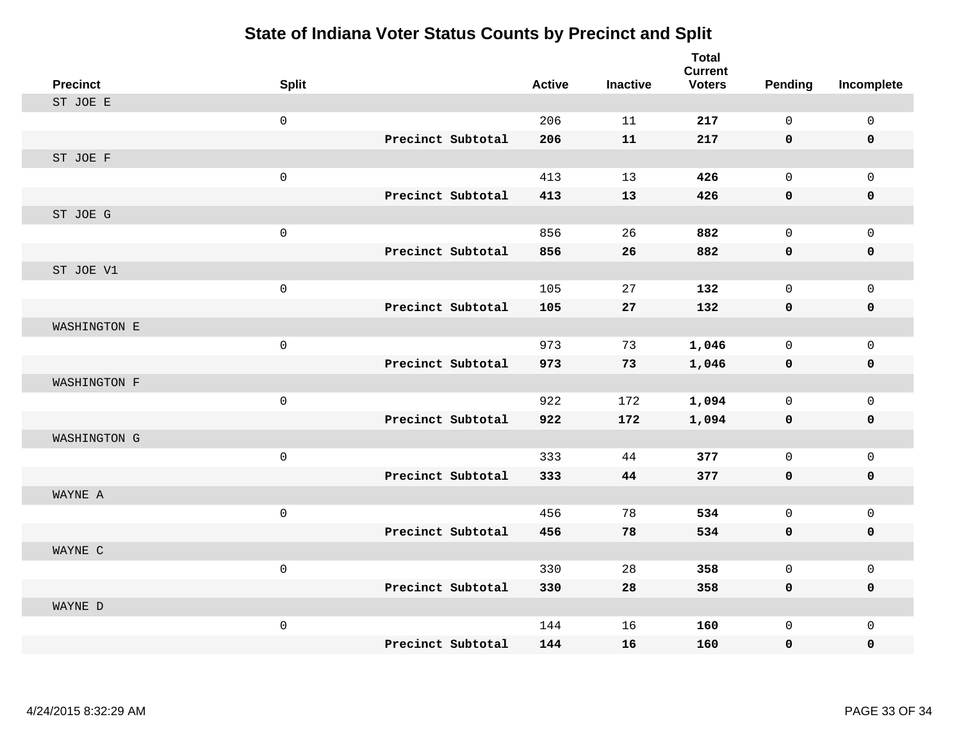| <b>Precinct</b> | <b>Split</b>        |                   | <b>Active</b> | <b>Inactive</b> | <b>Total</b><br><b>Current</b><br><b>Voters</b> | <b>Pending</b> | Incomplete  |
|-----------------|---------------------|-------------------|---------------|-----------------|-------------------------------------------------|----------------|-------------|
| ST JOE E        |                     |                   |               |                 |                                                 |                |             |
|                 | $\mathsf{O}\xspace$ |                   | 206           | 11              | 217                                             | $\mathsf{O}$   | $\mathbf 0$ |
|                 |                     | Precinct Subtotal | 206           | 11              | 217                                             | $\mathbf 0$    | $\mathbf 0$ |
| ST JOE F        |                     |                   |               |                 |                                                 |                |             |
|                 | $\mathsf{O}\xspace$ |                   | 413           | 13              | 426                                             | $\mathbf 0$    | $\mathbf 0$ |
|                 |                     | Precinct Subtotal | 413           | 13              | 426                                             | 0              | $\mathbf 0$ |
| ST JOE G        |                     |                   |               |                 |                                                 |                |             |
|                 | $\mathsf{O}\xspace$ |                   | 856           | 26              | 882                                             | 0              | $\mathbf 0$ |
|                 |                     | Precinct Subtotal | 856           | 26              | 882                                             | 0              | $\mathbf 0$ |
| ST JOE V1       |                     |                   |               |                 |                                                 |                |             |
|                 | $\mathsf{O}\xspace$ |                   | 105           | 27              | 132                                             | 0              | $\mathbf 0$ |
|                 |                     | Precinct Subtotal | 105           | 27              | 132                                             | $\mathbf 0$    | 0           |
| WASHINGTON E    |                     |                   |               |                 |                                                 |                |             |
|                 | $\mathsf{O}\xspace$ |                   | 973           | 73              | 1,046                                           | 0              | $\mathbf 0$ |
|                 |                     | Precinct Subtotal | 973           | 73              | 1,046                                           | 0              | $\mathbf 0$ |
| WASHINGTON F    |                     |                   |               |                 |                                                 |                |             |
|                 | $\mathsf{O}\xspace$ |                   | 922           | 172             | 1,094                                           | 0              | $\mathbf 0$ |
|                 |                     | Precinct Subtotal | 922           | 172             | 1,094                                           | 0              | $\mathbf 0$ |
| WASHINGTON G    |                     |                   |               |                 |                                                 |                |             |
|                 | $\mathsf{O}\xspace$ |                   | 333           | 44              | 377                                             | 0              | $\mathbf 0$ |
|                 |                     | Precinct Subtotal | 333           | 44              | 377                                             | 0              | $\mathbf 0$ |
| WAYNE A         |                     |                   |               |                 |                                                 |                |             |
|                 | $\mathsf{O}\xspace$ |                   | 456           | 78              | 534                                             | 0              | $\mathbf 0$ |
|                 |                     | Precinct Subtotal | 456           | 78              | 534                                             | 0              | 0           |
| WAYNE C         |                     |                   |               |                 |                                                 |                |             |
|                 | $\mathbf 0$         |                   | 330           | 28              | 358                                             | 0              | $\mathbf 0$ |
|                 |                     | Precinct Subtotal | 330           | 28              | 358                                             | 0              | $\mathbf 0$ |
| WAYNE D         |                     |                   |               |                 |                                                 |                |             |
|                 | $\mathsf{O}\xspace$ |                   | 144           | 16              | 160                                             | 0              | $\mathbf 0$ |
|                 |                     | Precinct Subtotal | 144           | 16              | 160                                             | 0              | $\mathbf 0$ |